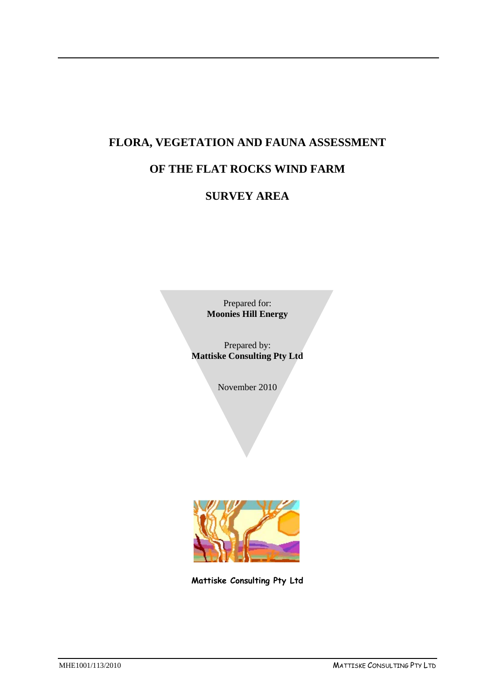# **FLORA, VEGETATION AND FAUNA ASSESSMENT**

## **OF THE FLAT ROCKS WIND FARM**

## **SURVEY AREA**

Prepared for: **Moonies Hill Energy**

Prepared by: **Mattiske Consulting Pty Ltd**

November 2010



**Mattiske Consulting Pty Ltd**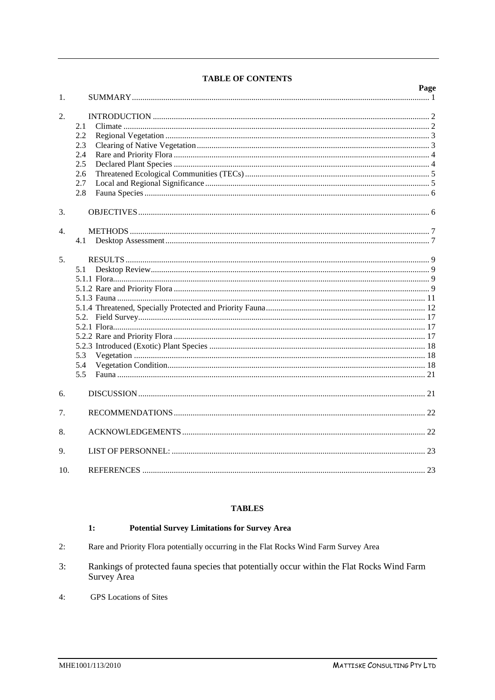| 1.             |                                                      | Page |
|----------------|------------------------------------------------------|------|
| 2.             | 2.1<br>2.2<br>2.3<br>2.4<br>2.5<br>2.6<br>2.7<br>2.8 |      |
| 3.             |                                                      |      |
| $\mathbf{4}$ . | 4.1                                                  |      |
| 5.             | 5.1<br>5.3<br>5.4<br>5.5                             |      |
| 6.             |                                                      |      |
| $7_{\cdot}$    |                                                      |      |
| 8.             |                                                      |      |
| 9.             |                                                      |      |
| 10.            |                                                      |      |

### **TABLES**

#### **Potential Survey Limitations for Survey Area**  $1:$

- Rare and Priority Flora potentially occurring in the Flat Rocks Wind Farm Survey Area  $2:$
- Rankings of protected fauna species that potentially occur within the Flat Rocks Wind Farm  $3:$ Survey Area
- **GPS** Locations of Sites  $4:$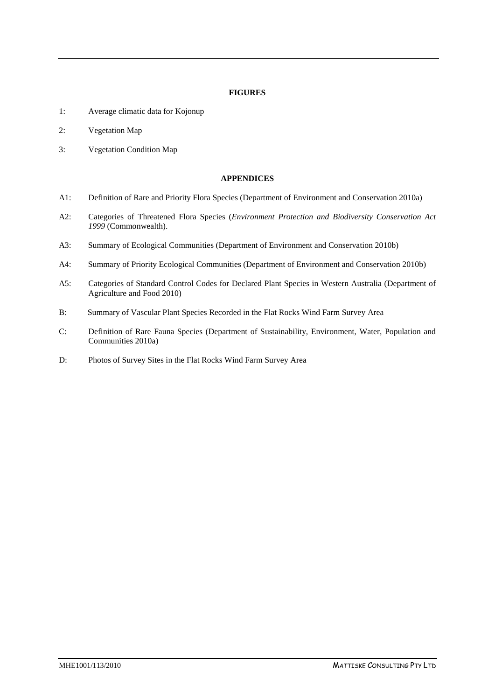### **FIGURES**

- 1: Average climatic data for Kojonup
- 2: Vegetation Map
- 3: Vegetation Condition Map

### **APPENDICES**

- A1: Definition of Rare and Priority Flora Species (Department of Environment and Conservation 2010a)
- A2: Categories of Threatened Flora Species (*Environment Protection and Biodiversity Conservation Act 1999* (Commonwealth).
- A3: Summary of Ecological Communities (Department of Environment and Conservation 2010b)
- A4: Summary of Priority Ecological Communities (Department of Environment and Conservation 2010b)
- A5: Categories of Standard Control Codes for Declared Plant Species in Western Australia (Department of Agriculture and Food 2010)
- B: Summary of Vascular Plant Species Recorded in the Flat Rocks Wind Farm Survey Area
- C: Definition of Rare Fauna Species (Department of Sustainability, Environment, Water, Population and Communities 2010a)
- D: Photos of Survey Sites in the Flat Rocks Wind Farm Survey Area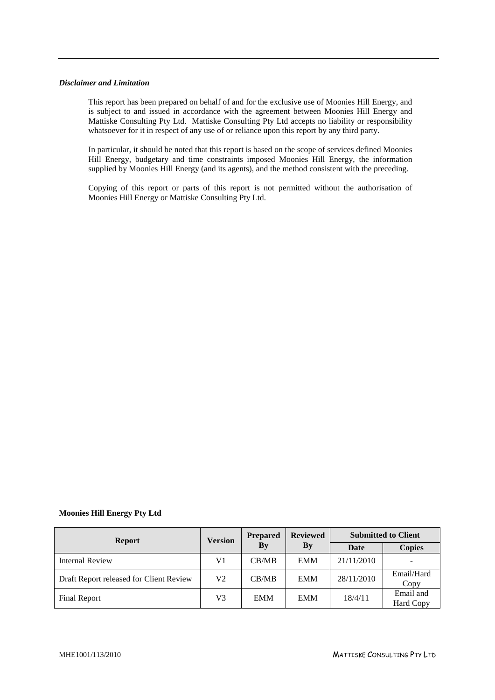#### *Disclaimer and Limitation*

This report has been prepared on behalf of and for the exclusive use of Moonies Hill Energy, and is subject to and issued in accordance with the agreement between Moonies Hill Energy and Mattiske Consulting Pty Ltd. Mattiske Consulting Pty Ltd accepts no liability or responsibility whatsoever for it in respect of any use of or reliance upon this report by any third party.

In particular, it should be noted that this report is based on the scope of services defined Moonies Hill Energy, budgetary and time constraints imposed Moonies Hill Energy, the information supplied by Moonies Hill Energy (and its agents), and the method consistent with the preceding.

Copying of this report or parts of this report is not permitted without the authorisation of Moonies Hill Energy or Mattiske Consulting Pty Ltd.

### **Moonies Hill Energy Pty Ltd**

| <b>Report</b>                           | <b>Version</b> | <b>Prepared</b> | <b>Reviewed</b>        | <b>Submitted to Client</b> |                        |
|-----------------------------------------|----------------|-----------------|------------------------|----------------------------|------------------------|
|                                         |                | By              | $\mathbf{B}\mathbf{v}$ | Date                       | <b>Copies</b>          |
| <b>Internal Review</b>                  | V1             | CB/MB           | <b>EMM</b>             | 21/11/2010                 |                        |
| Draft Report released for Client Review | V2             | CB/MB           | <b>EMM</b>             | 28/11/2010                 | Email/Hard<br>Copy     |
| Final Report                            | V3             | <b>EMM</b>      | <b>EMM</b>             | 18/4/11                    | Email and<br>Hard Copy |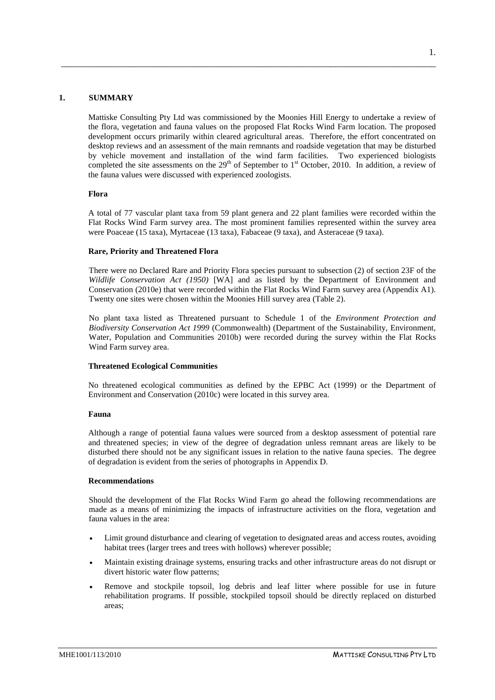#### **1. SUMMARY**

Mattiske Consulting Pty Ltd was commissioned by the Moonies Hill Energy to undertake a review of the flora, vegetation and fauna values on the proposed Flat Rocks Wind Farm location. The proposed development occurs primarily within cleared agricultural areas. Therefore, the effort concentrated on desktop reviews and an assessment of the main remnants and roadside vegetation that may be disturbed by vehicle movement and installation of the wind farm facilities. Two experienced biologists completed the site assessments on the  $29<sup>th</sup>$  of September to 1<sup>st</sup> October, 2010. In addition, a review of the fauna values were discussed with experienced zoologists.

<span id="page-4-0"></span>\_\_\_\_\_\_\_\_\_\_\_\_\_\_\_\_\_\_\_\_\_\_\_\_\_\_\_\_\_\_\_\_\_\_\_\_\_\_\_\_\_\_\_\_\_\_\_\_\_\_\_\_\_\_\_\_\_\_\_\_\_\_\_\_\_\_\_\_\_\_\_\_\_\_\_\_\_\_\_\_\_\_

#### **Flora**

A total of 77 vascular plant taxa from 59 plant genera and 22 plant families were recorded within the Flat Rocks Wind Farm survey area. The most prominent families represented within the survey area were Poaceae (15 taxa), Myrtaceae (13 taxa), Fabaceae (9 taxa), and Asteraceae (9 taxa).

#### **Rare, Priority and Threatened Flora**

There were no Declared Rare and Priority Flora species pursuant to subsection (2) of section 23F of the *Wildlife Conservation Act (1950)* [WA] and as listed by the Department of Environment and Conservation (2010e) that were recorded within the Flat Rocks Wind Farm survey area (Appendix A1). Twenty one sites were chosen within the Moonies Hill survey area (Table 2).

No plant taxa listed as Threatened pursuant to Schedule 1 of the *Environment Protection and Biodiversity Conservation Act 1999* (Commonwealth) (Department of the Sustainability, Environment, Water, Population and Communities 2010b) were recorded during the survey within the Flat Rocks Wind Farm survey area.

#### **Threatened Ecological Communities**

No threatened ecological communities as defined by the EPBC Act (1999) or the Department of Environment and Conservation (2010c) were located in this survey area.

#### **Fauna**

Although a range of potential fauna values were sourced from a desktop assessment of potential rare and threatened species; in view of the degree of degradation unless remnant areas are likely to be disturbed there should not be any significant issues in relation to the native fauna species. The degree of degradation is evident from the series of photographs in Appendix D.

#### **Recommendations**

Should the development of the Flat Rocks Wind Farm go ahead the following recommendations are made as a means of minimizing the impacts of infrastructure activities on the flora, vegetation and fauna values in the area:

- Limit ground disturbance and clearing of vegetation to designated areas and access routes, avoiding habitat trees (larger trees and trees with hollows) wherever possible;
- Maintain existing drainage systems, ensuring tracks and other infrastructure areas do not disrupt or divert historic water flow patterns;
- Remove and stockpile topsoil, log debris and leaf litter where possible for use in future rehabilitation programs. If possible, stockpiled topsoil should be directly replaced on disturbed areas;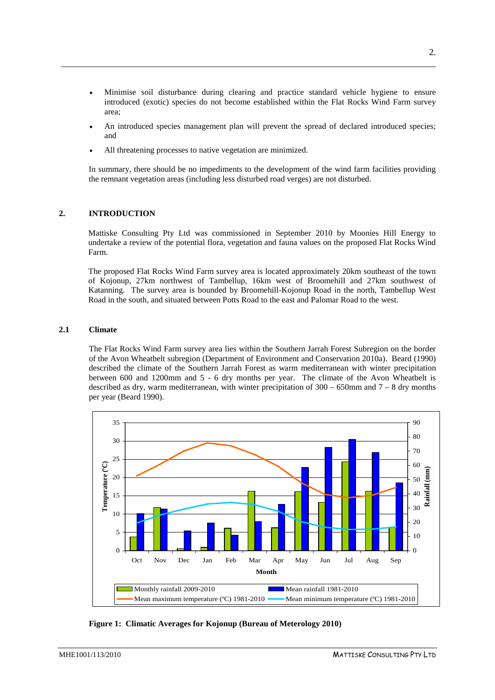• Minimise soil disturbance during clearing and practice standard vehicle hygiene to ensure introduced (exotic) species do not become established within the Flat Rocks Wind Farm survey area;

\_\_\_\_\_\_\_\_\_\_\_\_\_\_\_\_\_\_\_\_\_\_\_\_\_\_\_\_\_\_\_\_\_\_\_\_\_\_\_\_\_\_\_\_\_\_\_\_\_\_\_\_\_\_\_\_\_\_\_\_\_\_\_\_\_\_\_\_\_\_\_\_\_\_\_\_\_\_\_\_\_\_

- An introduced species management plan will prevent the spread of declared introduced species; and
- All threatening processes to native vegetation are minimized.

In summary, there should be no impediments to the development of the wind farm facilities providing the remnant vegetation areas (including less disturbed road verges) are not disturbed.

### <span id="page-5-0"></span>**2. INTRODUCTION**

Mattiske Consulting Pty Ltd was commissioned in September 2010 by Moonies Hill Energy to undertake a review of the potential flora, vegetation and fauna values on the proposed Flat Rocks Wind Farm.

The proposed Flat Rocks Wind Farm survey area is located approximately 20km southeast of the town of Kojonup, 27km northwest of Tambellup, 16km west of Broomehill and 27km southwest of Katanning. The survey area is bounded by Broomehill-Kojonup Road in the north, Tambellup West Road in the south, and situated between Potts Road to the east and Palomar Road to the west.

### <span id="page-5-1"></span>**2.1 Climate**

The Flat Rocks Wind Farm survey area lies within the Southern Jarrah Forest Subregion on the border of the Avon Wheatbelt subregion (Department of Environment and Conservation 2010a). Beard (1990) described the climate of the Southern Jarrah Forest as warm mediterranean with winter precipitation between 600 and 1200mm and 5 - 6 dry months per year. The climate of the Avon Wheatbelt is described as dry, warm mediterranean, with winter precipitation of  $300 - 650$ mm and  $7 - 8$  dry months per year (Beard 1990).



**Figure 1: Climatic Averages for Kojonup (Bureau of Meterology 2010)**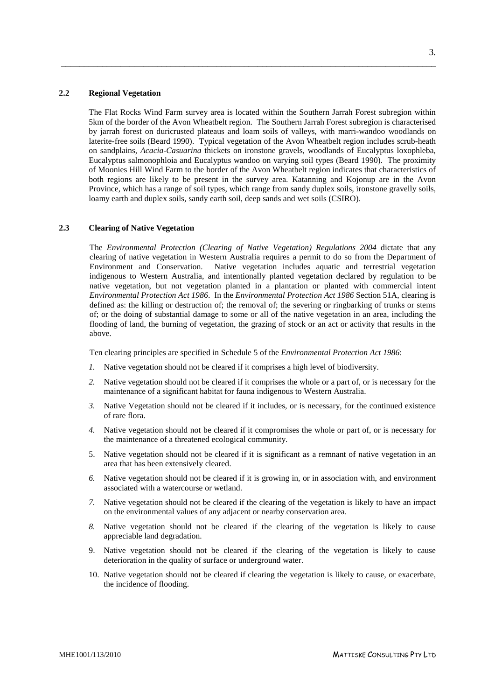#### **2.2 Regional Vegetation**

The Flat Rocks Wind Farm survey area is located within the Southern Jarrah Forest subregion within 5km of the border of the Avon Wheatbelt region. The Southern Jarrah Forest subregion is characterised by jarrah forest on duricrusted plateaus and loam soils of valleys, with marri-wandoo woodlands on laterite-free soils (Beard 1990). Typical vegetation of the Avon Wheatbelt region includes scrub-heath on sandplains, *Acacia*-*Casuarina* thickets on ironstone gravels, woodlands of Eucalyptus loxophleba, Eucalyptus salmonophloia and Eucalyptus wandoo on varying soil types (Beard 1990). The proximity of Moonies Hill Wind Farm to the border of the Avon Wheatbelt region indicates that characteristics of both regions are likely to be present in the survey area. Katanning and Kojonup are in the Avon Province, which has a range of soil types, which range from sandy duplex soils, ironstone gravelly soils, loamy earth and duplex soils, sandy earth soil, deep sands and wet soils (CSIRO).

<span id="page-6-0"></span>\_\_\_\_\_\_\_\_\_\_\_\_\_\_\_\_\_\_\_\_\_\_\_\_\_\_\_\_\_\_\_\_\_\_\_\_\_\_\_\_\_\_\_\_\_\_\_\_\_\_\_\_\_\_\_\_\_\_\_\_\_\_\_\_\_\_\_\_\_\_\_\_\_\_\_\_\_\_\_\_\_\_

### <span id="page-6-1"></span>**2.3 Clearing of Native Vegetation**

The *Environmental Protection (Clearing of Native Vegetation) Regulations 2004* dictate that any clearing of native vegetation in Western Australia requires a permit to do so from the Department of Environment and Conservation. Native vegetation includes aquatic and terrestrial vegetation indigenous to Western Australia, and intentionally planted vegetation declared by regulation to be native vegetation, but not vegetation planted in a plantation or planted with commercial intent *Environmental Protection Act 1986*. In the *Environmental Protection Act 1986* Section 51A, clearing is defined as: the killing or destruction of; the removal of; the severing or ringbarking of trunks or stems of; or the doing of substantial damage to some or all of the native vegetation in an area, including the flooding of land, the burning of vegetation, the grazing of stock or an act or activity that results in the above.

Ten clearing principles are specified in Schedule 5 of the *Environmental Protection Act 1986*:

- *1.* Native vegetation should not be cleared if it comprises a high level of biodiversity.
- *2.* Native vegetation should not be cleared if it comprises the whole or a part of, or is necessary for the maintenance of a significant habitat for fauna indigenous to Western Australia.
- *3.* Native Vegetation should not be cleared if it includes, or is necessary, for the continued existence of rare flora.
- *4.* Native vegetation should not be cleared if it compromises the whole or part of, or is necessary for the maintenance of a threatened ecological community.
- 5. Native vegetation should not be cleared if it is significant as a remnant of native vegetation in an area that has been extensively cleared.
- *6.* Native vegetation should not be cleared if it is growing in, or in association with, and environment associated with a watercourse or wetland.
- *7.* Native vegetation should not be cleared if the clearing of the vegetation is likely to have an impact on the environmental values of any adjacent or nearby conservation area.
- *8.* Native vegetation should not be cleared if the clearing of the vegetation is likely to cause appreciable land degradation.
- 9. Native vegetation should not be cleared if the clearing of the vegetation is likely to cause deterioration in the quality of surface or underground water.
- 10. Native vegetation should not be cleared if clearing the vegetation is likely to cause, or exacerbate, the incidence of flooding.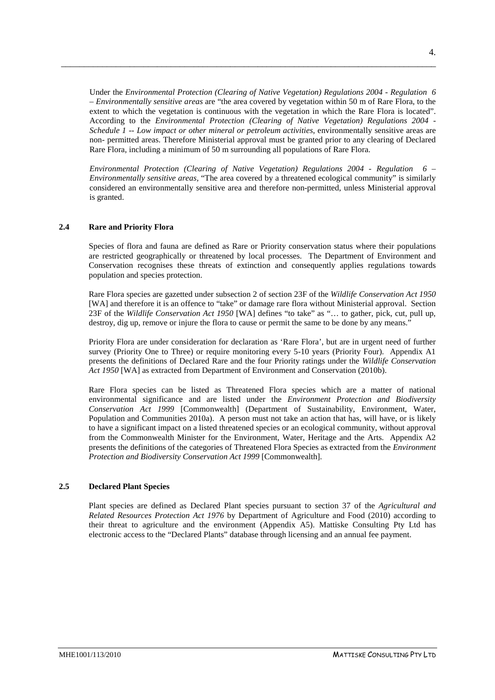Under the *Environmental Protection (Clearing of Native Vegetation) Regulations 2004 - Regulation 6 – Environmentally sensitive areas* are "the area covered by vegetation within 50 m of Rare Flora, to the extent to which the vegetation is continuous with the vegetation in which the Rare Flora is located". According to the *Environmental Protection (Clearing of Native Vegetation) Regulations 2004 - Schedule 1 -- Low impact or other mineral or petroleum activities*, environmentally sensitive areas are non- permitted areas. Therefore Ministerial approval must be granted prior to any clearing of Declared Rare Flora, including a minimum of 50 m surrounding all populations of Rare Flora.

\_\_\_\_\_\_\_\_\_\_\_\_\_\_\_\_\_\_\_\_\_\_\_\_\_\_\_\_\_\_\_\_\_\_\_\_\_\_\_\_\_\_\_\_\_\_\_\_\_\_\_\_\_\_\_\_\_\_\_\_\_\_\_\_\_\_\_\_\_\_\_\_\_\_\_\_\_\_\_\_\_\_

*Environmental Protection (Clearing of Native Vegetation) Regulations 2004 - Regulation 6 – Environmentally sensitive areas,* "The area covered by a threatened ecological community" is similarly considered an environmentally sensitive area and therefore non-permitted, unless Ministerial approval is granted.

#### <span id="page-7-0"></span>**2.4 Rare and Priority Flora**

Species of flora and fauna are defined as Rare or Priority conservation status where their populations are restricted geographically or threatened by local processes. The Department of Environment and Conservation recognises these threats of extinction and consequently applies regulations towards population and species protection.

Rare Flora species are gazetted under subsection 2 of section 23F of the *Wildlife Conservation Act 1950*  [WA] and therefore it is an offence to "take" or damage rare flora without Ministerial approval. Section 23F of the *Wildlife Conservation Act 1950* [WA] defines "to take" as "… to gather, pick, cut, pull up, destroy, dig up, remove or injure the flora to cause or permit the same to be done by any means."

Priority Flora are under consideration for declaration as 'Rare Flora', but are in urgent need of further survey (Priority One to Three) or require monitoring every 5-10 years (Priority Four). Appendix A1 presents the definitions of Declared Rare and the four Priority ratings under the *Wildlife Conservation Act 1950* [WA] as extracted from Department of Environment and Conservation (2010b).

Rare Flora species can be listed as Threatened Flora species which are a matter of national environmental significance and are listed under the *Environment Protection and Biodiversity Conservation Act 1999* [Commonwealth] (Department of Sustainability, Environment, Water, Population and Communities 2010a). A person must not take an action that has, will have, or is likely to have a significant impact on a listed threatened species or an ecological community, without approval from the Commonwealth Minister for the Environment, Water, Heritage and the Arts. Appendix A2 presents the definitions of the categories of Threatened Flora Species as extracted from the *Environment Protection and Biodiversity Conservation Act 1999* [Commonwealth].

## <span id="page-7-1"></span>**2.5 Declared Plant Species**

Plant species are defined as Declared Plant species pursuant to section 37 of the *Agricultural and Related Resources Protection Act 1976* by Department of Agriculture and Food (2010) according to their threat to agriculture and the environment (Appendix A5). Mattiske Consulting Pty Ltd has electronic access to the "Declared Plants" database through licensing and an annual fee payment.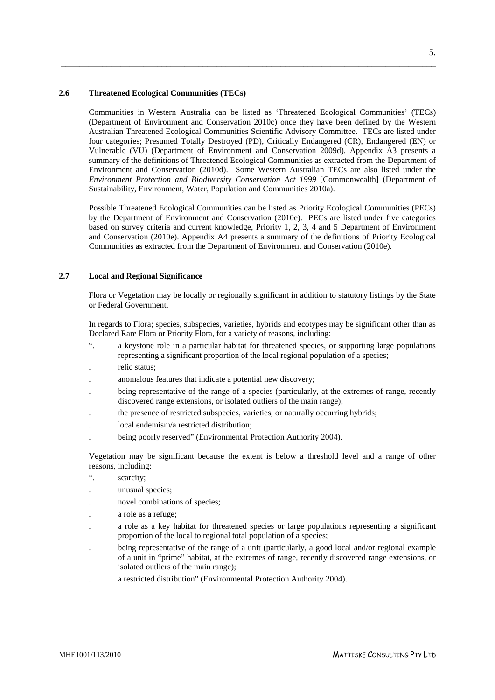#### **2.6 Threatened Ecological Communities (TECs)**

Communities in Western Australia can be listed as 'Threatened Ecological Communities' (TECs) (Department of Environment and Conservation 2010c) once they have been defined by the Western Australian Threatened Ecological Communities Scientific Advisory Committee. TECs are listed under four categories; Presumed Totally Destroyed (PD), Critically Endangered (CR), Endangered (EN) or Vulnerable (VU) (Department of Environment and Conservation 2009d). Appendix A3 presents a summary of the definitions of Threatened Ecological Communities as extracted from the Department of Environment and Conservation (2010d). Some Western Australian TECs are also listed under the *Environment Protection and Biodiversity Conservation Act 1999* [Commonwealth] (Department of Sustainability, Environment, Water, Population and Communities 2010a).

<span id="page-8-0"></span>\_\_\_\_\_\_\_\_\_\_\_\_\_\_\_\_\_\_\_\_\_\_\_\_\_\_\_\_\_\_\_\_\_\_\_\_\_\_\_\_\_\_\_\_\_\_\_\_\_\_\_\_\_\_\_\_\_\_\_\_\_\_\_\_\_\_\_\_\_\_\_\_\_\_\_\_\_\_\_\_\_\_

Possible Threatened Ecological Communities can be listed as Priority Ecological Communities (PECs) by the Department of Environment and Conservation (2010e). PECs are listed under five categories based on survey criteria and current knowledge, Priority 1, 2, 3, 4 and 5 Department of Environment and Conservation (2010e). Appendix A4 presents a summary of the definitions of Priority Ecological Communities as extracted from the Department of Environment and Conservation (2010e).

#### <span id="page-8-1"></span>**2.7 Local and Regional Significance**

Flora or Vegetation may be locally or regionally significant in addition to statutory listings by the State or Federal Government.

In regards to Flora; species, subspecies, varieties, hybrids and ecotypes may be significant other than as Declared Rare Flora or Priority Flora, for a variety of reasons, including:

- ". a keystone role in a particular habitat for threatened species, or supporting large populations representing a significant proportion of the local regional population of a species;
- . relic status;
- . anomalous features that indicate a potential new discovery;
- . being representative of the range of a species (particularly, at the extremes of range, recently discovered range extensions, or isolated outliers of the main range);
- . the presence of restricted subspecies, varieties, or naturally occurring hybrids;
- . local endemism/a restricted distribution;
- . being poorly reserved" (Environmental Protection Authority 2004).

Vegetation may be significant because the extent is below a threshold level and a range of other reasons, including:

- ". scarcity;
- . unusual species;
- . novel combinations of species;
- . a role as a refuge;
- . a role as a key habitat for threatened species or large populations representing a significant proportion of the local to regional total population of a species;
- . being representative of the range of a unit (particularly, a good local and/or regional example of a unit in "prime" habitat, at the extremes of range, recently discovered range extensions, or isolated outliers of the main range);
- . a restricted distribution" (Environmental Protection Authority 2004).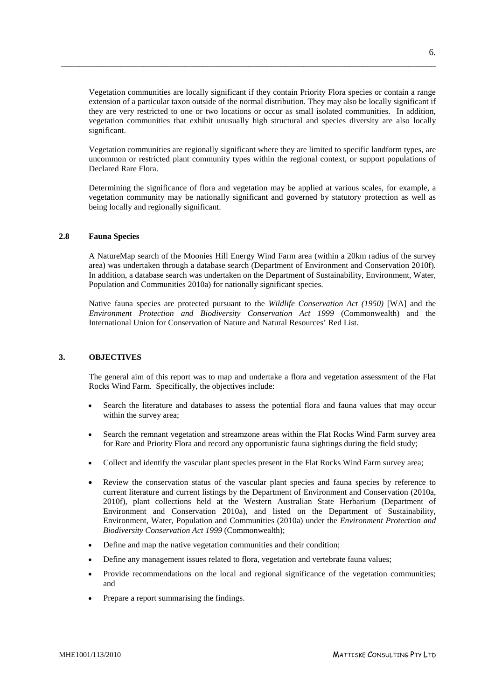Vegetation communities are locally significant if they contain Priority Flora species or contain a range extension of a particular taxon outside of the normal distribution. They may also be locally significant if they are very restricted to one or two locations or occur as small isolated communities. In addition, vegetation communities that exhibit unusually high structural and species diversity are also locally significant.

\_\_\_\_\_\_\_\_\_\_\_\_\_\_\_\_\_\_\_\_\_\_\_\_\_\_\_\_\_\_\_\_\_\_\_\_\_\_\_\_\_\_\_\_\_\_\_\_\_\_\_\_\_\_\_\_\_\_\_\_\_\_\_\_\_\_\_\_\_\_\_\_\_\_\_\_\_\_\_\_\_\_

Vegetation communities are regionally significant where they are limited to specific landform types, are uncommon or restricted plant community types within the regional context, or support populations of Declared Rare Flora.

Determining the significance of flora and vegetation may be applied at various scales, for example, a vegetation community may be nationally significant and governed by statutory protection as well as being locally and regionally significant.

#### <span id="page-9-0"></span>**2.8 Fauna Species**

A NatureMap search of the Moonies Hill Energy Wind Farm area (within a 20km radius of the survey area) was undertaken through a database search (Department of Environment and Conservation 2010f). In addition, a database search was undertaken on the Department of Sustainability, Environment, Water, Population and Communities 2010a) for nationally significant species.

Native fauna species are protected pursuant to the *Wildlife Conservation Act (1950)* [WA] and the *Environment Protection and Biodiversity Conservation Act 1999* (Commonwealth) and the International Union for Conservation of Nature and Natural Resources' Red List.

#### <span id="page-9-1"></span>**3. OBJECTIVES**

The general aim of this report was to map and undertake a flora and vegetation assessment of the Flat Rocks Wind Farm. Specifically, the objectives include:

- Search the literature and databases to assess the potential flora and fauna values that may occur within the survey area;
- Search the remnant vegetation and streamzone areas within the Flat Rocks Wind Farm survey area for Rare and Priority Flora and record any opportunistic fauna sightings during the field study;
- Collect and identify the vascular plant species present in the Flat Rocks Wind Farm survey area;
- Review the conservation status of the vascular plant species and fauna species by reference to current literature and current listings by the Department of Environment and Conservation (2010a, 2010f), plant collections held at the Western Australian State Herbarium (Department of Environment and Conservation 2010a), and listed on the Department of Sustainability, Environment, Water, Population and Communities (2010a) under the *Environment Protection and Biodiversity Conservation Act 1999* (Commonwealth);
- Define and map the native vegetation communities and their condition;
- Define any management issues related to flora, vegetation and vertebrate fauna values;
- Provide recommendations on the local and regional significance of the vegetation communities; and
- Prepare a report summarising the findings.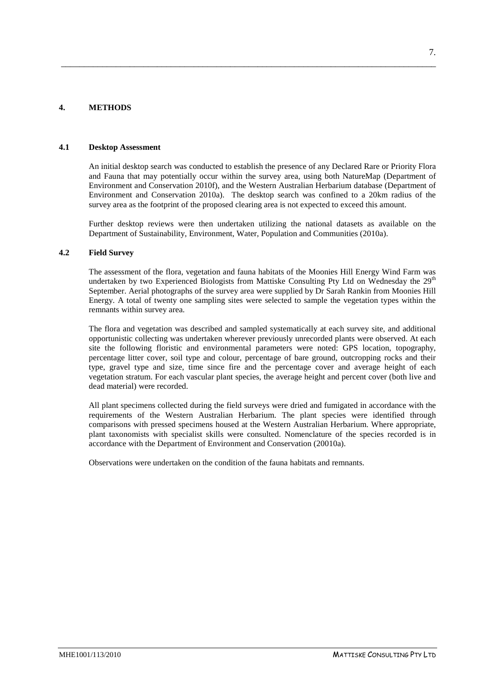### <span id="page-10-1"></span>**4. METHODS**

#### **4.1 Desktop Assessment**

An initial desktop search was conducted to establish the presence of any Declared Rare or Priority Flora and Fauna that may potentially occur within the survey area, using both NatureMap (Department of Environment and Conservation 2010f), and the Western Australian Herbarium database (Department of Environment and Conservation 2010a). The desktop search was confined to a 20km radius of the survey area as the footprint of the proposed clearing area is not expected to exceed this amount.

<span id="page-10-0"></span>\_\_\_\_\_\_\_\_\_\_\_\_\_\_\_\_\_\_\_\_\_\_\_\_\_\_\_\_\_\_\_\_\_\_\_\_\_\_\_\_\_\_\_\_\_\_\_\_\_\_\_\_\_\_\_\_\_\_\_\_\_\_\_\_\_\_\_\_\_\_\_\_\_\_\_\_\_\_\_\_\_\_

Further desktop reviews were then undertaken utilizing the national datasets as available on the Department of Sustainability, Environment, Water, Population and Communities (2010a).

#### **4.2 Field Survey**

The assessment of the flora, vegetation and fauna habitats of the Moonies Hill Energy Wind Farm was undertaken by two Experienced Biologists from Mattiske Consulting Pty Ltd on Wednesday the  $29<sup>th</sup>$ September. Aerial photographs of the survey area were supplied by Dr Sarah Rankin from Moonies Hill Energy. A total of twenty one sampling sites were selected to sample the vegetation types within the remnants within survey area.

The flora and vegetation was described and sampled systematically at each survey site, and additional opportunistic collecting was undertaken wherever previously unrecorded plants were observed. At each site the following floristic and environmental parameters were noted: GPS location, topography, percentage litter cover, soil type and colour, percentage of bare ground, outcropping rocks and their type, gravel type and size, time since fire and the percentage cover and average height of each vegetation stratum. For each vascular plant species, the average height and percent cover (both live and dead material) were recorded.

All plant specimens collected during the field surveys were dried and fumigated in accordance with the requirements of the Western Australian Herbarium. The plant species were identified through comparisons with pressed specimens housed at the Western Australian Herbarium. Where appropriate, plant taxonomists with specialist skills were consulted. Nomenclature of the species recorded is in accordance with the Department of Environment and Conservation (20010a).

Observations were undertaken on the condition of the fauna habitats and remnants.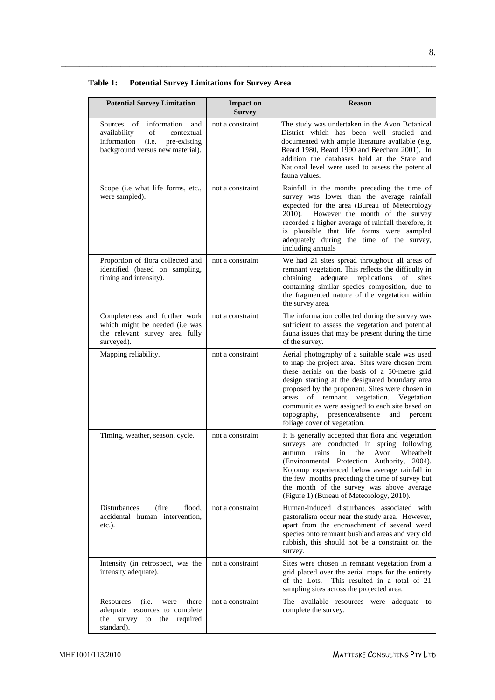| Table 1: | <b>Potential Survey Limitations for Survey Area</b> |  |
|----------|-----------------------------------------------------|--|
|          |                                                     |  |

\_\_\_\_\_\_\_\_\_\_\_\_\_\_\_\_\_\_\_\_\_\_\_\_\_\_\_\_\_\_\_\_\_\_\_\_\_\_\_\_\_\_\_\_\_\_\_\_\_\_\_\_\_\_\_\_\_\_\_\_\_\_\_\_\_\_\_\_\_\_\_\_\_\_\_\_\_\_\_\_\_\_

| <b>Potential Survey Limitation</b>                                                                                                               | <b>Impact on</b><br><b>Survey</b> | <b>Reason</b>                                                                                                                                                                                                                                                                                                                                                                                                                                |
|--------------------------------------------------------------------------------------------------------------------------------------------------|-----------------------------------|----------------------------------------------------------------------------------------------------------------------------------------------------------------------------------------------------------------------------------------------------------------------------------------------------------------------------------------------------------------------------------------------------------------------------------------------|
| Sources of<br>information<br>and<br>availability<br>of<br>contextual<br>information<br>(i.e.<br>pre-existing<br>background versus new material). | not a constraint                  | The study was undertaken in the Avon Botanical<br>District which has been well studied and<br>documented with ample literature available (e.g.<br>Beard 1980, Beard 1990 and Beecham 2001). In<br>addition the databases held at the State and<br>National level were used to assess the potential<br>fauna values.                                                                                                                          |
| Scope (i.e what life forms, etc.,<br>were sampled).                                                                                              | not a constraint                  | Rainfall in the months preceding the time of<br>survey was lower than the average rainfall<br>expected for the area (Bureau of Meteorology<br>However the month of the survey<br>$2010$ ).<br>recorded a higher average of rainfall therefore, it<br>is plausible that life forms were sampled<br>adequately during the time of the survey,<br>including annuals                                                                             |
| Proportion of flora collected and<br>identified (based on sampling,<br>timing and intensity).                                                    | not a constraint                  | We had 21 sites spread throughout all areas of<br>remnant vegetation. This reflects the difficulty in<br>adequate<br>obtaining<br>replications<br>of<br>sites<br>containing similar species composition, due to<br>the fragmented nature of the vegetation within<br>the survey area.                                                                                                                                                        |
| Completeness and further work<br>which might be needed (i.e was<br>the relevant survey area fully<br>surveyed).                                  | not a constraint                  | The information collected during the survey was<br>sufficient to assess the vegetation and potential<br>fauna issues that may be present during the time<br>of the survey.                                                                                                                                                                                                                                                                   |
| Mapping reliability.                                                                                                                             | not a constraint                  | Aerial photography of a suitable scale was used<br>to map the project area. Sites were chosen from<br>these aerials on the basis of a 50-metre grid<br>design starting at the designated boundary area<br>proposed by the proponent. Sites were chosen in<br>areas of remnant vegetation. Vegetation<br>communities were assigned to each site based on<br>topography,<br>presence/absence<br>and<br>percent<br>foliage cover of vegetation. |
| Timing, weather, season, cycle.                                                                                                                  | not a constraint                  | It is generally accepted that flora and vegetation<br>surveys are conducted in spring following<br>in<br>the<br>Avon<br>Wheatbelt<br>autumn<br>rains<br>(Environmental Protection Authority, 2004).<br>Kojonup experienced below average rainfall in<br>the few months preceding the time of survey but<br>the month of the survey was above average<br>(Figure 1) (Bureau of Meteorology, 2010).                                            |
| Disturbances<br>(fire<br>flood,<br>accidental human intervention,<br>$etc.$ ).                                                                   | not a constraint                  | Human-induced disturbances associated with<br>pastoralism occur near the study area. However,<br>apart from the encroachment of several weed<br>species onto remnant bushland areas and very old<br>rubbish, this should not be a constraint on the<br>survey.                                                                                                                                                                               |
| Intensity (in retrospect, was the<br>intensity adequate).                                                                                        | not a constraint                  | Sites were chosen in remnant vegetation from a<br>grid placed over the aerial maps for the entirety<br>of the Lots.<br>This resulted in a total of 21<br>sampling sites across the projected area.                                                                                                                                                                                                                                           |
| Resources<br>(i.e.<br>there<br>were<br>adequate resources to complete<br>the survey<br>to<br>the required<br>standard).                          | not a constraint                  | The available resources were adequate to<br>complete the survey.                                                                                                                                                                                                                                                                                                                                                                             |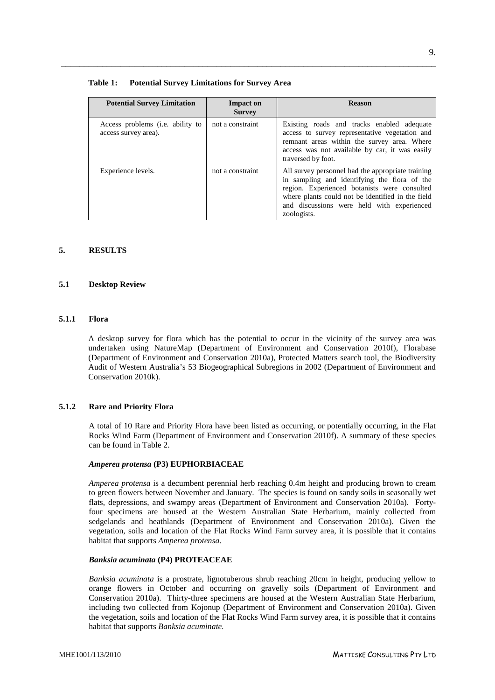### **Table 1: Potential Survey Limitations for Survey Area**

| <b>Potential Survey Limitation</b>                               | <b>Impact on</b><br><b>Survey</b> | <b>Reason</b>                                                                                                                                                                                                                                                       |
|------------------------------------------------------------------|-----------------------------------|---------------------------------------------------------------------------------------------------------------------------------------------------------------------------------------------------------------------------------------------------------------------|
| Access problems ( <i>i.e.</i> ability to<br>access survey area). | not a constraint                  | Existing roads and tracks enabled adequate<br>access to survey representative vegetation and<br>remnant areas within the survey area. Where<br>access was not available by car, it was easily<br>traversed by foot.                                                 |
| Experience levels.                                               | not a constraint                  | All survey personnel had the appropriate training<br>in sampling and identifying the flora of the<br>region. Experienced botanists were consulted<br>where plants could not be identified in the field<br>and discussions were held with experienced<br>zoologists. |

\_\_\_\_\_\_\_\_\_\_\_\_\_\_\_\_\_\_\_\_\_\_\_\_\_\_\_\_\_\_\_\_\_\_\_\_\_\_\_\_\_\_\_\_\_\_\_\_\_\_\_\_\_\_\_\_\_\_\_\_\_\_\_\_\_\_\_\_\_\_\_\_\_\_\_\_\_\_\_\_\_\_

### <span id="page-12-0"></span>**5. RESULTS**

#### <span id="page-12-1"></span>**5.1 Desktop Review**

#### <span id="page-12-2"></span>**5.1.1 Flora**

A desktop survey for flora which has the potential to occur in the vicinity of the survey area was undertaken using NatureMap (Department of Environment and Conservation 2010f), Florabase (Department of Environment and Conservation 2010a), Protected Matters search tool, the Biodiversity Audit of Western Australia's 53 Biogeographical Subregions in 2002 (Department of Environment and Conservation 2010k).

### <span id="page-12-3"></span>**5.1.2 Rare and Priority Flora**

A total of 10 Rare and Priority Flora have been listed as occurring, or potentially occurring, in the Flat Rocks Wind Farm (Department of Environment and Conservation 2010f). A summary of these species can be found in Table 2.

#### *Amperea protensa* **(P3) EUPHORBIACEAE**

*Amperea protensa* is a decumbent perennial herb reaching 0.4m height and producing brown to cream to green flowers between November and January. The species is found on sandy soils in seasonally wet flats, depressions, and swampy areas (Department of Environment and Conservation 2010a). Fortyfour specimens are housed at the Western Australian State Herbarium, mainly collected from sedgelands and heathlands (Department of Environment and Conservation 2010a). Given the vegetation, soils and location of the Flat Rocks Wind Farm survey area, it is possible that it contains habitat that supports *Amperea protensa.*

#### *Banksia acuminata* **(P4) PROTEACEAE**

*Banksia acuminata* is a prostrate, lignotuberous shrub reaching 20cm in height, producing yellow to orange flowers in October and occurring on gravelly soils (Department of Environment and Conservation 2010a). Thirty-three specimens are housed at the Western Australian State Herbarium, including two collected from Kojonup (Department of Environment and Conservation 2010a). Given the vegetation, soils and location of the Flat Rocks Wind Farm survey area, it is possible that it contains habitat that supports *Banksia acuminate.*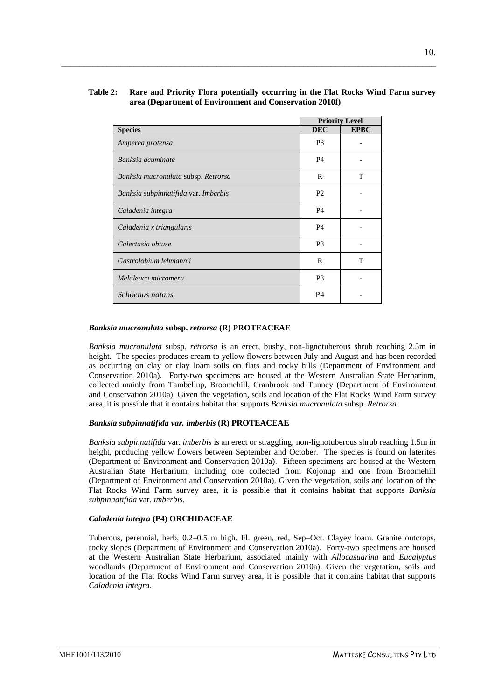### **Table 2: Rare and Priority Flora potentially occurring in the Flat Rocks Wind Farm survey area (Department of Environment and Conservation 2010f)**

\_\_\_\_\_\_\_\_\_\_\_\_\_\_\_\_\_\_\_\_\_\_\_\_\_\_\_\_\_\_\_\_\_\_\_\_\_\_\_\_\_\_\_\_\_\_\_\_\_\_\_\_\_\_\_\_\_\_\_\_\_\_\_\_\_\_\_\_\_\_\_\_\_\_\_\_\_\_\_\_\_\_

|                                      | <b>Priority Level</b> |             |
|--------------------------------------|-----------------------|-------------|
| <b>Species</b>                       | <b>DEC</b>            | <b>EPBC</b> |
| Amperea protensa                     | P <sub>3</sub>        |             |
| Banksia acuminate                    | P <sub>4</sub>        |             |
| Banksia mucronulata subsp. Retrorsa  | R                     | т           |
| Banksia subpinnatifida var. Imberbis | P <sub>2</sub>        |             |
| Caladenia integra                    | P <sub>4</sub>        |             |
| Caladenia x triangularis             | P <sub>4</sub>        |             |
| Calectasia obtuse                    | P <sub>3</sub>        |             |
| Gastrolobium lehmannii               | R                     | т           |
| Melaleuca micromera                  | P <sub>3</sub>        |             |
| Schoenus natans                      | P4                    |             |

#### *Banksia mucronulata* **subsp.** *retrorsa* **(R) PROTEACEAE**

*Banksia mucronulata* subsp*. retrorsa* is an erect, bushy, non-lignotuberous shrub reaching 2.5m in height. The species produces cream to yellow flowers between July and August and has been recorded as occurring on clay or clay loam soils on flats and rocky hills (Department of Environment and Conservation 2010a). Forty-two specimens are housed at the Western Australian State Herbarium, collected mainly from Tambellup, Broomehill, Cranbrook and Tunney (Department of Environment and Conservation 2010a). Given the vegetation, soils and location of the Flat Rocks Wind Farm survey area, it is possible that it contains habitat that supports *Banksia mucronulata* subsp*. Retrorsa.*

### *Banksia subpinnatifida var. imberbis* **(R) PROTEACEAE**

*Banksia subpinnatifida* var. *imberbis* is an erect or straggling, non-lignotuberous shrub reaching 1.5m in height, producing yellow flowers between September and October. The species is found on laterites (Department of Environment and Conservation 2010a). Fifteen specimens are housed at the Western Australian State Herbarium, including one collected from Kojonup and one from Broomehill (Department of Environment and Conservation 2010a). Given the vegetation, soils and location of the Flat Rocks Wind Farm survey area, it is possible that it contains habitat that supports *Banksia subpinnatifida* var. *imberbis.*

### *Caladenia integra* **(P4) ORCHIDACEAE**

Tuberous, perennial, herb, 0.2–0.5 m high. Fl. green, red, Sep–Oct. Clayey loam. Granite outcrops, rocky slopes (Department of Environment and Conservation 2010a). Forty-two specimens are housed at the Western Australian State Herbarium, associated mainly with *Allocasuarina* and *Eucalyptus* woodlands (Department of Environment and Conservation 2010a). Given the vegetation, soils and location of the Flat Rocks Wind Farm survey area, it is possible that it contains habitat that supports *Caladenia integra.*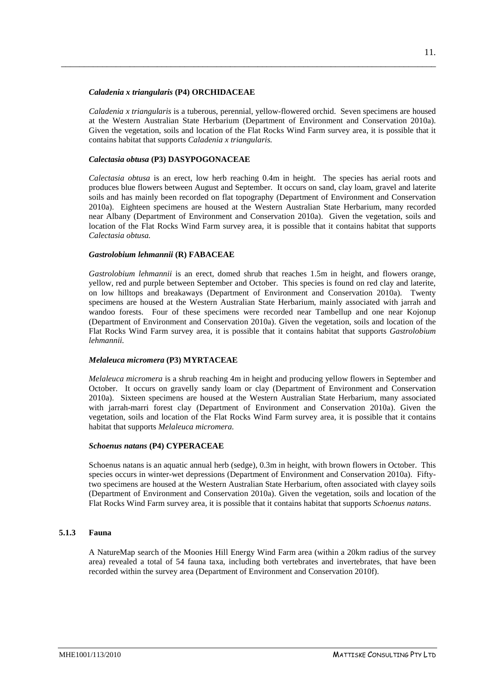#### *Caladenia x triangularis* **(P4) ORCHIDACEAE**

*Caladenia x triangularis* is a tuberous, perennial, yellow-flowered orchid. Seven specimens are housed at the Western Australian State Herbarium (Department of Environment and Conservation 2010a). Given the vegetation, soils and location of the Flat Rocks Wind Farm survey area, it is possible that it contains habitat that supports *Caladenia x triangularis.*

\_\_\_\_\_\_\_\_\_\_\_\_\_\_\_\_\_\_\_\_\_\_\_\_\_\_\_\_\_\_\_\_\_\_\_\_\_\_\_\_\_\_\_\_\_\_\_\_\_\_\_\_\_\_\_\_\_\_\_\_\_\_\_\_\_\_\_\_\_\_\_\_\_\_\_\_\_\_\_\_\_\_

### *Calectasia obtusa* **(P3) DASYPOGONACEAE**

*Calectasia obtusa* is an erect, low herb reaching 0.4m in height. The species has aerial roots and produces blue flowers between August and September. It occurs on sand, clay loam, gravel and laterite soils and has mainly been recorded on flat topography (Department of Environment and Conservation 2010a). Eighteen specimens are housed at the Western Australian State Herbarium, many recorded near Albany (Department of Environment and Conservation 2010a). Given the vegetation, soils and location of the Flat Rocks Wind Farm survey area, it is possible that it contains habitat that supports *Calectasia obtusa.*

#### *Gastrolobium lehmannii* **(R) FABACEAE**

*Gastrolobium lehmannii* is an erect, domed shrub that reaches 1.5m in height, and flowers orange, yellow, red and purple between September and October. This species is found on red clay and laterite, on low hilltops and breakaways (Department of Environment and Conservation 2010a). Twenty specimens are housed at the Western Australian State Herbarium, mainly associated with jarrah and wandoo forests. Four of these specimens were recorded near Tambellup and one near Kojonup (Department of Environment and Conservation 2010a). Given the vegetation, soils and location of the Flat Rocks Wind Farm survey area, it is possible that it contains habitat that supports *Gastrolobium lehmannii.*

#### *Melaleuca micromera* **(P3) MYRTACEAE**

*Melaleuca micromera* is a shrub reaching 4m in height and producing yellow flowers in September and October. It occurs on gravelly sandy loam or clay (Department of Environment and Conservation 2010a). Sixteen specimens are housed at the Western Australian State Herbarium, many associated with jarrah-marri forest clay (Department of Environment and Conservation 2010a). Given the vegetation, soils and location of the Flat Rocks Wind Farm survey area, it is possible that it contains habitat that supports *Melaleuca micromera.*

#### *Schoenus natans* **(P4) CYPERACEAE**

Schoenus natans is an aquatic annual herb (sedge), 0.3m in height, with brown flowers in October. This species occurs in winter-wet depressions (Department of Environment and Conservation 2010a). Fiftytwo specimens are housed at the Western Australian State Herbarium, often associated with clayey soils (Department of Environment and Conservation 2010a). Given the vegetation, soils and location of the Flat Rocks Wind Farm survey area, it is possible that it contains habitat that supports *Schoenus natans*.

### <span id="page-14-0"></span>**5.1.3 Fauna**

A NatureMap search of the Moonies Hill Energy Wind Farm area (within a 20km radius of the survey area) revealed a total of 54 fauna taxa, including both vertebrates and invertebrates, that have been recorded within the survey area (Department of Environment and Conservation 2010f).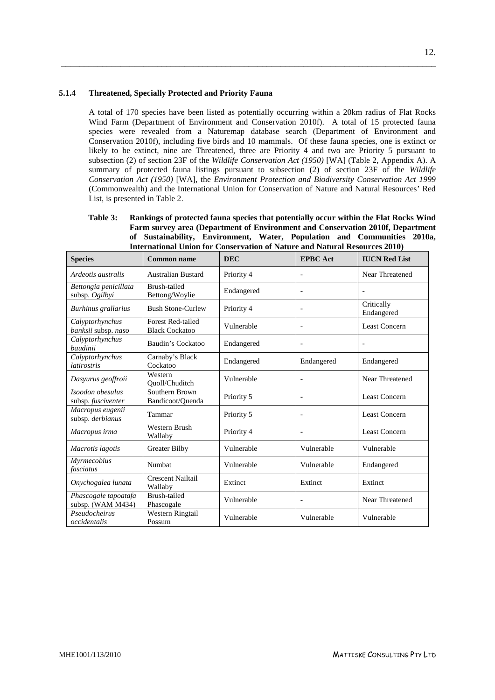### **5.1.4 Threatened, Specially Protected and Priority Fauna**

A total of 170 species have been listed as potentially occurring within a 20km radius of Flat Rocks Wind Farm (Department of Environment and Conservation 2010f). A total of 15 protected fauna species were revealed from a Naturemap database search (Department of Environment and Conservation 2010f), including five birds and 10 mammals. Of these fauna species, one is extinct or likely to be extinct, nine are Threatened, three are Priority 4 and two are Priority 5 pursuant to subsection (2) of section 23F of the *Wildlife Conservation Act (1950)* [WA] (Table 2, Appendix A). A summary of protected fauna listings pursuant to subsection (2) of section 23F of the *Wildlife Conservation Act (1950)* [WA], the *Environment Protection and Biodiversity Conservation Act 1999*  (Commonwealth) and the International Union for Conservation of Nature and Natural Resources' Red List, is presented in Table 2.

<span id="page-15-0"></span>\_\_\_\_\_\_\_\_\_\_\_\_\_\_\_\_\_\_\_\_\_\_\_\_\_\_\_\_\_\_\_\_\_\_\_\_\_\_\_\_\_\_\_\_\_\_\_\_\_\_\_\_\_\_\_\_\_\_\_\_\_\_\_\_\_\_\_\_\_\_\_\_\_\_\_\_\_\_\_\_\_\_

**Table 3: Rankings of protected fauna species that potentially occur within the Flat Rocks Wind Farm survey area (Department of Environment and Conservation 2010f, Department of Sustainability, Environment, Water, Population and Communities 2010a, International Union for Conservation of Nature and Natural Resources 2010)**

| <b>Species</b>                            | Common name                                       | <b>DEC</b> | <b>EPBC</b> Act          | <b>IUCN Red List</b>     |
|-------------------------------------------|---------------------------------------------------|------------|--------------------------|--------------------------|
| Ardeotis australis                        | <b>Australian Bustard</b>                         | Priority 4 | $\overline{\phantom{a}}$ | Near Threatened          |
| Bettongia penicillata<br>subsp. Ogilbyi   | Brush-tailed<br>Bettong/Woylie                    | Endangered | $\blacksquare$           | $\overline{a}$           |
| Burhinus grallarius                       | <b>Bush Stone-Curlew</b>                          | Priority 4 | $\overline{\phantom{a}}$ | Critically<br>Endangered |
| Calyptorhynchus<br>banksii subsp. naso    | <b>Forest Red-tailed</b><br><b>Black Cockatoo</b> | Vulnerable | $\blacksquare$           | <b>Least Concern</b>     |
| Calyptorhynchus<br>baudinii               | Baudin's Cockatoo                                 | Endangered | $\blacksquare$           | $\overline{\phantom{0}}$ |
| Calyptorhynchus<br>latirostris            | Carnaby's Black<br>Cockatoo                       | Endangered | Endangered               | Endangered               |
| Dasyurus geoffroii                        | Western<br>Ouoll/Chuditch                         | Vulnerable | $\overline{a}$           | Near Threatened          |
| Isoodon obesulus<br>subsp. fusciventer    | Southern Brown<br>Bandicoot/Quenda                | Priority 5 | $\overline{\phantom{a}}$ | Least Concern            |
| Macropus eugenii<br>subsp. derbianus      | Tammar                                            | Priority 5 | $\overline{\phantom{a}}$ | Least Concern            |
| Macropus irma                             | Western Brush<br>Wallaby                          | Priority 4 | $\blacksquare$           | <b>Least Concern</b>     |
| Macrotis lagotis                          | Greater Bilby                                     | Vulnerable | Vulnerable               | Vulnerable               |
| Myrmecobius<br>fasciatus                  | Numbat                                            | Vulnerable | Vulnerable               | Endangered               |
| Onychogalea lunata                        | <b>Crescent Nailtail</b><br>Wallaby               | Extinct    | Extinct                  | Extinct                  |
| Phascogale tapoatafa<br>subsp. (WAM M434) | Brush-tailed<br>Phascogale                        | Vulnerable | $\overline{\phantom{a}}$ | Near Threatened          |
| Pseudocheirus<br>occidentalis             | Western Ringtail<br>Possum                        | Vulnerable | Vulnerable               | Vulnerable               |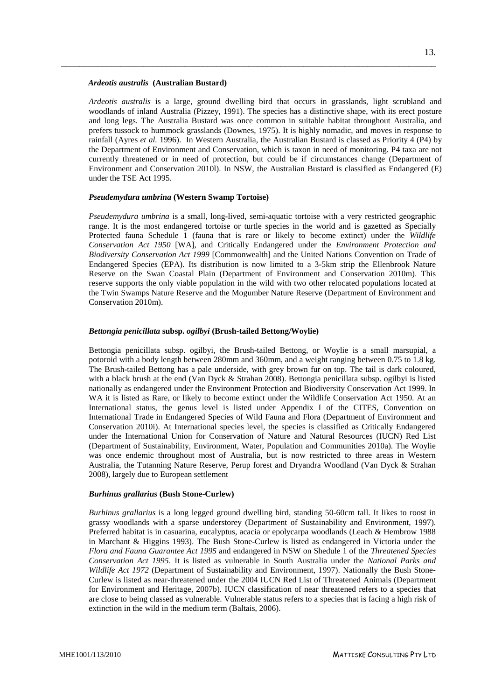#### *Ardeotis australis* **(Australian Bustard)**

*Ardeotis australis* is a large, ground dwelling bird that occurs in grasslands, light scrubland and woodlands of inland Australia (Pizzey, 1991). The species has a distinctive shape, with its erect posture and long legs. The Australia Bustard was once common in suitable habitat throughout Australia, and prefers tussock to hummock grasslands (Downes, 1975). It is highly nomadic, and moves in response to rainfall (Ayres *et al.* 1996). In Western Australia, the Australian Bustard is classed as Priority 4 (P4) by the Department of Environment and Conservation, which is taxon in need of monitoring. P4 taxa are not currently threatened or in need of protection, but could be if circumstances change (Department of Environment and Conservation 2010l). In NSW, the Australian Bustard is classified as Endangered (E) under the TSE Act 1995.

\_\_\_\_\_\_\_\_\_\_\_\_\_\_\_\_\_\_\_\_\_\_\_\_\_\_\_\_\_\_\_\_\_\_\_\_\_\_\_\_\_\_\_\_\_\_\_\_\_\_\_\_\_\_\_\_\_\_\_\_\_\_\_\_\_\_\_\_\_\_\_\_\_\_\_\_\_\_\_\_\_\_

#### *Pseudemydura umbrina* **(Western Swamp Tortoise)**

*Pseudemydura umbrina* is a small, long-lived, semi-aquatic tortoise with a very restricted geographic range. It is the most endangered tortoise or turtle species in the world and is gazetted as Specially Protected fauna Schedule 1 (fauna that is rare or likely to become extinct) under the *Wildlife Conservation Act 1950* [WA], and Critically Endangered under the *Environment Protection and Biodiversity Conservation Act 1999* [Commonwealth] and the United Nations Convention on Trade of Endangered Species (EPA). Its distribution is now limited to a 3-5km strip the Ellenbrook Nature Reserve on the Swan Coastal Plain (Department of Environment and Conservation 2010m). This reserve supports the only viable population in the wild with two other relocated populations located at the Twin Swamps Nature Reserve and the Mogumber Nature Reserve (Department of Environment and Conservation 2010m).

#### *Bettongia penicillata* **subsp.** *ogilbyi* **(Brush-tailed Bettong/Woylie)**

Bettongia penicillata subsp. ogilbyi, the Brush-tailed Bettong, or Woylie is a small marsupial, a potoroid with a body length between 280mm and 360mm, and a weight ranging between 0.75 to 1.8 kg. The Brush-tailed Bettong has a pale underside, with grey brown fur on top. The tail is dark coloured, with a black brush at the end (Van Dyck & Strahan 2008). Bettongia penicillata subsp. ogilbyi is listed nationally as endangered under the Environment Protection and Biodiversity Conservation Act 1999. In WA it is listed as Rare, or likely to become extinct under the Wildlife Conservation Act 1950. At an International status, the genus level is listed under Appendix I of the CITES, Convention on International Trade in Endangered Species of Wild Fauna and Flora (Department of Environment and Conservation 2010i). At International species level, the species is classified as Critically Endangered under the International Union for Conservation of Nature and Natural Resources (IUCN) Red List (Department of Sustainability, Environment, Water, Population and Communities 2010a). The Woylie was once endemic throughout most of Australia, but is now restricted to three areas in Western Australia, the Tutanning Nature Reserve, Perup forest and Dryandra Woodland (Van Dyck & Strahan 2008), largely due to European settlement

#### *Burhinus grallarius* **(Bush Stone-Curlew)**

*Burhinus grallarius* is a long legged ground dwelling bird, standing 50-60cm tall. It likes to roost in grassy woodlands with a sparse understorey (Department of Sustainability and Environment, 1997). Preferred habitat is in casuarina, eucalyptus, acacia or epolycarpa woodlands (Leach & Hembrow 1988 in Marchant & Higgins 1993). The Bush Stone-Curlew is listed as endangered in Victoria under the *Flora and Fauna Guarantee Act 1995* and endangered in NSW on Shedule 1 of the *Threatened Species Conservation Act 1995*. It is listed as vulnerable in South Australia under the *National Parks and Wildlife Act 1972* (Department of Sustainability and Environment, 1997). Nationally the Bush Stone-Curlew is listed as near-threatened under the 2004 IUCN Red List of Threatened Animals (Department for Environment and Heritage, 2007b). IUCN classification of near threatened refers to a species that are close to being classed as vulnerable. Vulnerable status refers to a species that is facing a high risk of extinction in the wild in the medium term (Baltais, 2006).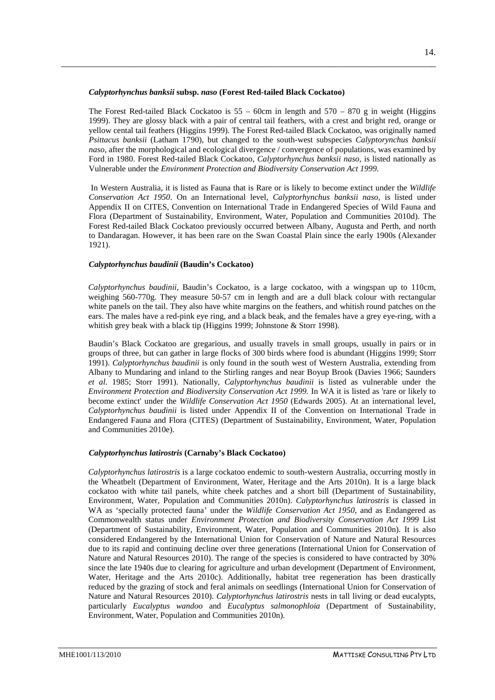#### *Calyptorhynchus banksii* **subsp.** *naso* **(Forest Red-tailed Black Cockatoo)**

The Forest Red-tailed Black Cockatoo is  $55 - 60$ cm in length and  $570 - 870$  g in weight (Higgins 1999). They are glossy black with a pair of central tail feathers, with a crest and bright red, orange or yellow cental tail feathers (Higgins 1999). The Forest Red-tailed Black Cockatoo, was originally named *Psittacus banksii* (Latham 1790), but changed to the south-west subspecies *Calyptorynchus banksii naso*, after the morphological and ecological divergence / convergence of populations, was examined by Ford in 1980. Forest Red-tailed Black Cockatoo, *Calyptorhynchus banksii naso*, is listed nationally as Vulnerable under the *Environment Protection and Biodiversity Conservation Act 1999*.

\_\_\_\_\_\_\_\_\_\_\_\_\_\_\_\_\_\_\_\_\_\_\_\_\_\_\_\_\_\_\_\_\_\_\_\_\_\_\_\_\_\_\_\_\_\_\_\_\_\_\_\_\_\_\_\_\_\_\_\_\_\_\_\_\_\_\_\_\_\_\_\_\_\_\_\_\_\_\_\_\_\_

In Western Australia, it is listed as Fauna that is Rare or is likely to become extinct under the *Wildlife Conservation Act 1950*. On an International level, *Calyptorhynchus banksii naso,* is listed under Appendix II on CITES, Convention on International Trade in Endangered Species of Wild Fauna and Flora (Department of Sustainability, Environment, Water, Population and Communities 2010d). The Forest Red-tailed Black Cockatoo previously occurred between Albany, Augusta and Perth, and north to Dandaragan. However, it has been rare on the Swan Coastal Plain since the early 1900s (Alexander 1921).

#### *Calyptorhynchus baudinii* **(Baudin's Cockatoo)**

*Calyptorhynchus baudinii*, Baudin's Cockatoo, is a large cockatoo, with a wingspan up to 110cm, weighing 560-770g. They measure 50-57 cm in length and are a dull black colour with rectangular white panels on the tail. They also have white margins on the feathers, and whitish round patches on the ears. The males have a red-pink eye ring, and a black beak, and the females have a grey eye-ring, with a whitish grey beak with a black tip (Higgins 1999; Johnstone & Storr 1998).

Baudin's Black Cockatoo are gregarious, and usually travels in small groups, usually in pairs or in groups of three, but can gather in large flocks of 300 birds where food is abundant (Higgins 1999; Storr 1991). *Calyptorhynchus baudinii* is only found in the south west of Western Australia, extending from Albany to Mundaring and inland to the Stirling ranges and near Boyup Brook (Davies 1966; Saunders *et al*. 1985; Storr 1991). Nationally, *Calyptorhynchus baudinii* is listed as vulnerable under the *Environment Protection and Biodiversity Conservation Act 1999.* In WA it is listed as 'rare or likely to become extinct' under the *Wildlife Conservation Act 1950* (Edwards 2005). At an international level, *Calyptorhynchus baudinii* is listed under Appendix II of the Convention on International Trade in Endangered Fauna and Flora (CITES) (Department of Sustainability, Environment, Water, Population and Communities 2010e).

#### *Calyptorhynchus latirostris* **(Carnaby's Black Cockatoo)**

*Calyptorhynchus latirostris* is a large cockatoo endemic to south-western Australia, occurring mostly in the Wheatbelt (Department of Environment, Water, Heritage and the Arts 2010n). It is a large black cockatoo with white tail panels, white cheek patches and a short bill (Department of Sustainability, Environment, Water, Population and Communities 2010n). *Calyptorhynchus latirostris* is classed in WA as 'specially protected fauna' under the *Wildlife Conservation Act 1950*, and as Endangered as Commonwealth status under *Environment Protection and Biodiversity Conservation Act 1999* List (Department of Sustainability, Environment, Water, Population and Communities 2010n). It is also considered Endangered by the International Union for Conservation of Nature and Natural Resources due to its rapid and continuing decline over three generations (International Union for Conservation of Nature and Natural Resources 2010). The range of the species is considered to have contracted by 30% since the late 1940s due to clearing for agriculture and urban development (Department of Environment, Water, Heritage and the Arts 2010c). Additionally, habitat tree regeneration has been drastically reduced by the grazing of stock and feral animals on seedlings (International Union for Conservation of Nature and Natural Resources 2010). *Calyptorhynchus latirostris* nests in tall living or dead eucalypts, particularly *Eucalyptus wandoo* and *Eucalyptus salmonophloia* (Department of Sustainability, Environment, Water, Population and Communities 2010n).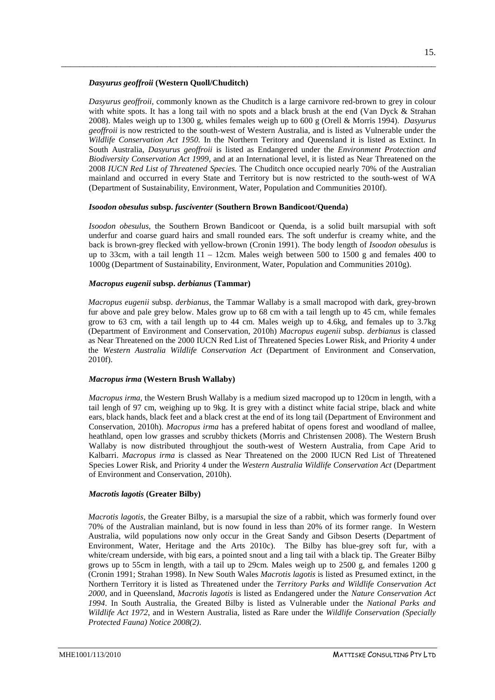#### *Dasyurus geoffroii* **(Western Quoll/Chuditch)**

*Dasyurus geoffroii*, commonly known as the Chuditch is a large carnivore red-brown to grey in colour with white spots. It has a long tail with no spots and a black brush at the end (Van Dyck & Strahan 2008). Males weigh up to 1300 g, whiles females weigh up to 600 g (Orell & Morris 1994). *Dasyurus geoffroii* is now restricted to the south-west of Western Australia, and is listed as Vulnerable under the *Wildlife Conservation Act 1950.* In the Northern Teritory and Queensland it is listed as Extinct. In South Australia, *Dasyurus geoffroii* is listed as Endangered under the *Environment Protection and Biodiversity Conservation Act 1999*, and at an International level, it is listed as Near Threatened on the 2008 *IUCN Red List of Threatened Species.* The Chuditch once occupied nearly 70% of the Australian mainland and occurred in every State and Territory but is now restricted to the south-west of WA (Department of Sustainability, Environment, Water, Population and Communities 2010f).

\_\_\_\_\_\_\_\_\_\_\_\_\_\_\_\_\_\_\_\_\_\_\_\_\_\_\_\_\_\_\_\_\_\_\_\_\_\_\_\_\_\_\_\_\_\_\_\_\_\_\_\_\_\_\_\_\_\_\_\_\_\_\_\_\_\_\_\_\_\_\_\_\_\_\_\_\_\_\_\_\_\_

#### *Isoodon obesulus* **subsp.** *fusciventer* **(Southern Brown Bandicoot/Quenda)**

*Isoodon obesulus*, the Southern Brown Bandicoot or Quenda, is a solid built marsupial with soft underfur and coarse guard hairs and small rounded ears. The soft underfur is creamy white, and the back is brown-grey flecked with yellow-brown (Cronin 1991). The body length of *Isoodon obesulus* is up to 33cm, with a tail length  $11 - 12$ cm. Males weigh between 500 to 1500 g and females 400 to 1000g (Department of Sustainability, Environment, Water, Population and Communities 2010g).

#### *Macropus eugenii* **subsp.** *derbianus* **(Tammar)**

*Macropus eugenii* subsp. *derbianus*, the Tammar Wallaby is a small macropod with dark, grey-brown fur above and pale grey below. Males grow up to 68 cm with a tail length up to 45 cm, while females grow to 63 cm, with a tail length up to 44 cm. Males weigh up to 4.6kg, and females up to 3.7kg (Department of Environment and Conservation, 2010h) *Macropus eugenii* subsp. *derbianus* is classed as Near Threatened on the 2000 IUCN Red List of Threatened Species Lower Risk, and Priority 4 under the *Western Australia Wildlife Conservation Act* (Department of Environment and Conservation, 2010f).

#### *Macropus irma* **(Western Brush Wallaby)**

*Macropus irma*, the Western Brush Wallaby is a medium sized macropod up to 120cm in length, with a tail lengh of 97 cm, weighing up to 9kg. It is grey with a distinct white facial stripe, black and white ears, black hands, black feet and a black crest at the end of its long tail (Department of Environment and Conservation, 2010h). *Macropus irma* has a prefered habitat of opens forest and woodland of mallee, heathland, open low grasses and scrubby thickets (Morris and Christensen 2008). The Western Brush Wallaby is now distributed throughjout the south-west of Western Australia, from Cape Arid to Kalbarri. *Macropus irma* is classed as Near Threatened on the 2000 IUCN Red List of Threatened Species Lower Risk, and Priority 4 under the *Western Australia Wildlife Conservation Act* (Department of Environment and Conservation, 2010h).

#### *Macrotis lagotis* **(Greater Bilby)**

*Macrotis lagotis*, the Greater Bilby, is a marsupial the size of a rabbit, which was formerly found over 70% of the Australian mainland, but is now found in less than 20% of its former range. In Western Australia, wild populations now only occur in the Great Sandy and Gibson Deserts (Department of Environment, Water, Heritage and the Arts 2010c). The Bilby has blue-grey soft fur, with a white/cream underside, with big ears, a pointed snout and a ling tail with a black tip. The Greater Bilby grows up to 55cm in length, with a tail up to 29cm. Males weigh up to 2500 g, and females 1200 g (Cronin 1991; Strahan 1998). In New South Wales *Macrotis lagotis* is listed as [Presumed extinct,](http://www.legislation.nsw.gov.au/viewtop/inforce/act+101+1995+FIRST+0+N) in the Northern Territory it is listed as [Threatened](http://www.nt.gov.au/nreta/wildlife/animals/threatened/specieslist.html) under the *Territory Parks and Wildlife Conservation Act 2000*, and in Queensland, *Macrotis lagotis* is listed as [Endangered](http://www.legislation.qld.gov.au/LEGISLTN/CURRENT/N/NatureConWiR06.pdf) under the *Nature Conservation Act 1994*. In South Australia, the Greated Bilby is listed as [Vulnerable](http://www.environment.sa.gov.au/biodiversity/threatened.html#Protection_within_SA) under the *National Parks and Wildlife Act 1972*, and in Western Australia, listed as [Rare](http://www.dec.wa.gov.au/management-and-protection/threatened-species/index.html) under the *Wildlife Conservation (Specially Protected Fauna) Notice 2008(2)*.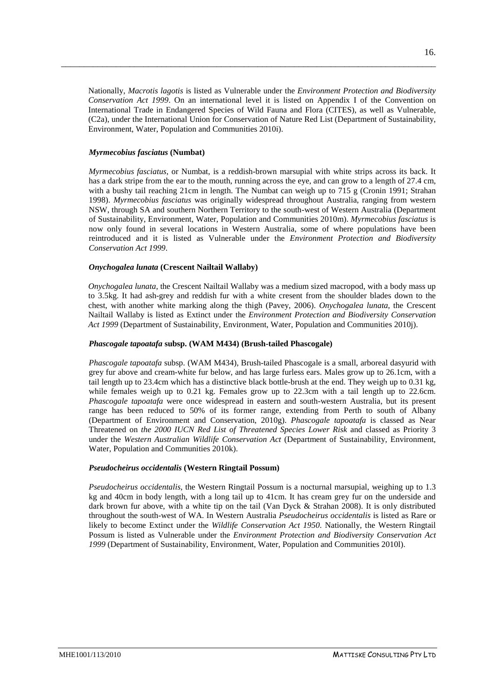Nationally, *Macrotis lagotis* is listed as Vulnerable under the *Environment Protection and Biodiversity Conservation Act 1999*. On an international level it is listed on [Appendix I](http://www.cites.org/eng/app/appendices.shtml) of the Convention on International Trade in Endangered Species of Wild Fauna and Flora (CITES), as well as [Vulnerable,](http://www.iucnredlist.org/search/details.php/12650/summ) (C2a), under the International Union for Conservation of Nature Red List (Department of Sustainability, Environment, Water, Population and Communities 2010i).

\_\_\_\_\_\_\_\_\_\_\_\_\_\_\_\_\_\_\_\_\_\_\_\_\_\_\_\_\_\_\_\_\_\_\_\_\_\_\_\_\_\_\_\_\_\_\_\_\_\_\_\_\_\_\_\_\_\_\_\_\_\_\_\_\_\_\_\_\_\_\_\_\_\_\_\_\_\_\_\_\_\_

#### *Myrmecobius fasciatus* **(Numbat)**

*Myrmecobius fasciatus*, or Numbat, is a reddish-brown marsupial with white strips across its back. It has a dark stripe from the ear to the mouth, running across the eye, and can grow to a length of 27.4 cm, with a bushy tail reaching 21cm in length. The Numbat can weigh up to 715 g (Cronin 1991; Strahan 1998). *Myrmecobius fasciatus* was originally widespread throughout Australia, ranging from western NSW, through SA and southern Northern Territory to the south-west of Western Australia (Department of Sustainability, Environment, Water, Population and Communities 2010m). *Myrmecobius fasciatus* is now only found in several locations in Western Australia, some of where populations have been reintroduced and it is listed as Vulnerable under the *Environment Protection and Biodiversity Conservation Act 1999*.

#### *Onychogalea lunata* **(Crescent Nailtail Wallaby)**

*Onychogalea lunata*, the Crescent Nailtail Wallaby was a medium sized macropod, with a body mass up to 3.5kg. It had ash-grey and reddish fur with a white cresent from the shoulder blades down to the chest, with another white marking along the thigh (Pavey, 2006). *Onychogalea lunata*, the Crescent Nailtail Wallaby is listed as Extinct under the *Environment Protection and Biodiversity Conservation Act 1999* (Department of Sustainability, Environment, Water, Population and Communities 2010j).

#### *Phascogale tapoatafa* **subsp. (WAM M434) (Brush-tailed Phascogale)**

*Phascogale tapoatafa* subsp. (WAM M434), Brush-tailed Phascogale is a small, arboreal dasyurid with grey fur above and cream-white fur below, and has large furless ears. Males grow up to 26.1cm, with a tail length up to 23.4cm which has a distinctive black bottle-brush at the end. They weigh up to 0.31 kg, while females weigh up to 0.21 kg. Females grow up to 22.3cm with a tail length up to 22.6cm. *Phascogale tapoatafa* were once widespread in eastern and south-western Australia, but its present range has been reduced to 50% of its former range, extending from Perth to south of Albany (Department of Environment and Conservation, 2010g). *Phascogale tapoatafa* is classed as Near Threatened on *the 2000 IUCN Red List of Threatened Species Lower Risk* and classed as Priority 3 under the *Western Australian Wildlife Conservation Act* (Department of Sustainability, Environment, Water, Population and Communities 2010k).

#### *Pseudocheirus occidentalis* **(Western Ringtail Possum)**

*Pseudocheirus occidentalis*, the Western Ringtail Possum is a nocturnal marsupial, weighing up to 1.3 kg and 40cm in body length, with a long tail up to 41cm. It has cream grey fur on the underside and dark brown fur above, with a white tip on the tail (Van Dyck & Strahan 2008). It is only distributed throughout the south-west of WA. In Western Australia *Pseudocheirus occidentalis* is listed as [Rare or](https://www.dec.wa.gov.au/management-and-protection/threatened-species/index.html)  [likely to become Extinct](https://www.dec.wa.gov.au/management-and-protection/threatened-species/index.html) under the *Wildlife Conservation Act 1950*. Nationally, the Western Ringtail Possum is listed as Vulnerable under the *Environment Protection and Biodiversity Conservation Act 1999* (Department of Sustainability, Environment, Water, Population and Communities 2010l).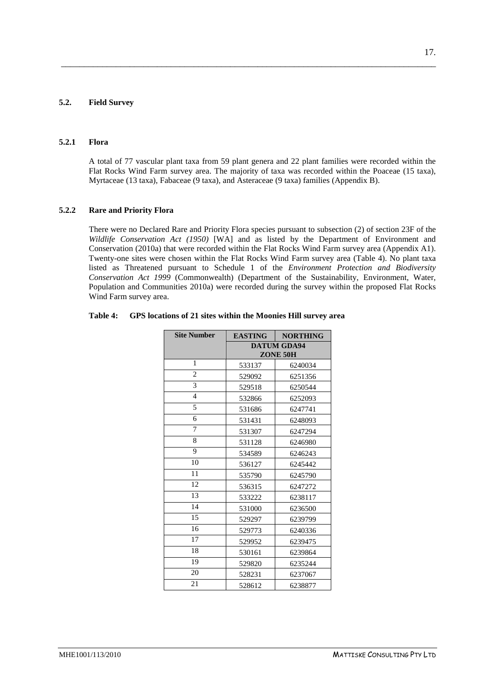### <span id="page-20-1"></span>**5.2. Field Survey**

#### **5.2.1 Flora**

A total of 77 vascular plant taxa from 59 plant genera and 22 plant families were recorded within the Flat Rocks Wind Farm survey area. The majority of taxa was recorded within the Poaceae (15 taxa), Myrtaceae (13 taxa), Fabaceae (9 taxa), and Asteraceae (9 taxa) families (Appendix B).

<span id="page-20-0"></span>\_\_\_\_\_\_\_\_\_\_\_\_\_\_\_\_\_\_\_\_\_\_\_\_\_\_\_\_\_\_\_\_\_\_\_\_\_\_\_\_\_\_\_\_\_\_\_\_\_\_\_\_\_\_\_\_\_\_\_\_\_\_\_\_\_\_\_\_\_\_\_\_\_\_\_\_\_\_\_\_\_\_

#### <span id="page-20-2"></span>**5.2.2 Rare and Priority Flora**

There were no Declared Rare and Priority Flora species pursuant to subsection (2) of section 23F of the *Wildlife Conservation Act (1950)* [WA] and as listed by the Department of Environment and Conservation (2010a) that were recorded within the Flat Rocks Wind Farm survey area (Appendix A1). Twenty-one sites were chosen within the Flat Rocks Wind Farm survey area (Table 4). No plant taxa listed as Threatened pursuant to Schedule 1 of the *Environment Protection and Biodiversity Conservation Act 1999* (Commonwealth) (Department of the Sustainability, Environment, Water, Population and Communities 2010a) were recorded during the survey within the proposed Flat Rocks Wind Farm survey area.

| <b>Site Number</b> | <b>EASTING</b> | <b>NORTHING</b>    |
|--------------------|----------------|--------------------|
|                    |                | <b>DATUM GDA94</b> |
|                    |                | ZONE 50H           |
| 1                  | 533137         | 6240034            |
| $\overline{c}$     | 529092         | 6251356            |
| 3                  | 529518         | 6250544            |
| $\overline{4}$     | 532866         | 6252093            |
| 5                  | 531686         | 6247741            |
| 6                  | 531431         | 6248093            |
| 7                  | 531307         | 6247294            |
| 8                  | 531128         | 6246980            |
| 9                  | 534589         | 6246243            |
| 10                 | 536127         | 6245442            |
| 11                 | 535790         | 6245790            |
| 12                 | 536315         | 6247272            |
| 13                 | 533222         | 6238117            |
| 14                 | 531000         | 6236500            |
| 15                 | 529297         | 6239799            |
| 16                 | 529773         | 6240336            |
| 17                 | 529952         | 6239475            |
| 18                 | 530161         | 6239864            |
| 19                 | 529820         | 6235244            |
| 20                 | 528231         | 6237067            |
| 21                 | 528612         | 6238877            |

#### **Table 4: GPS locations of 21 sites within the Moonies Hill survey area**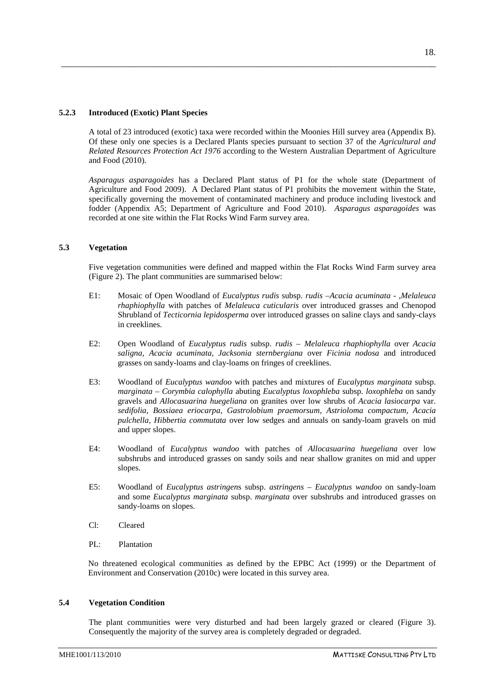## <span id="page-21-2"></span>**5.4 Vegetation Condition**

The plant communities were very disturbed and had been largely grazed or cleared (Figure 3). Consequently the majority of the survey area is completely degraded or degraded.

A total of 23 introduced (exotic) taxa were recorded within the Moonies Hill survey area (Appendix B). Of these only one species is a Declared Plants species pursuant to section 37 of the *Agricultural and Related Resources Protection Act 1976* according to the Western Australian Department of Agriculture and Food (2010).

<span id="page-21-0"></span>\_\_\_\_\_\_\_\_\_\_\_\_\_\_\_\_\_\_\_\_\_\_\_\_\_\_\_\_\_\_\_\_\_\_\_\_\_\_\_\_\_\_\_\_\_\_\_\_\_\_\_\_\_\_\_\_\_\_\_\_\_\_\_\_\_\_\_\_\_\_\_\_\_\_\_\_\_\_\_\_\_\_

*Asparagus asparagoides* has a Declared Plant status of P1 for the whole state (Department of Agriculture and Food 2009). A Declared Plant status of P1 prohibits the movement within the State, specifically governing the movement of contaminated machinery and produce including livestock and fodder (Appendix A5; Department of Agriculture and Food 2010). *Asparagus asparagoides* was recorded at one site within the Flat Rocks Wind Farm survey area.

#### <span id="page-21-1"></span>**5.3 Vegetation**

Five vegetation communities were defined and mapped within the Flat Rocks Wind Farm survey area (Figure 2). The plant communities are summarised below:

- E1: Mosaic of Open Woodland of *Eucalyptus rudis* subsp. *rudis –Acacia acuminata - ,Melaleuca rhaphiophylla* with patches of *Melaleuca cuticularis* over introduced grasses and Chenopod Shrubland of *Tecticornia lepidosperma* over introduced grasses on saline clays and sandy-clays in creeklines.
- E2: Open Woodland of *Eucalyptus rudis* subsp. *rudis – Melaleuca rhaphiophylla* over *Acacia saligna, Acacia acuminata, Jacksonia sternbergiana* over *Ficinia nodosa* and introduced grasses on sandy-loams and clay-loams on fringes of creeklines.
- E3: Woodland of *Eucalyptus wandoo* with patches and mixtures of *Eucalyptus marginata* subsp. *marginata – Corymbia calophylla* abuting *Eucalyptus loxophleba* subsp. *loxophleba* on sandy gravels and *Allocasuarina huegeliana* on granites over low shrubs of *Acacia lasiocarpa* var. *sedifolia, Bossiaea eriocarpa, Gastrolobium praemorsum, Astrioloma compactum, Acacia pulchella, Hibbertia commutata* over low sedges and annuals on sandy-loam gravels on mid and upper slopes.
- E4: Woodland of *Eucalyptus wandoo* with patches of *Allocasuarina huegeliana* over low subshrubs and introduced grasses on sandy soils and near shallow granites on mid and upper slopes.
- E5: Woodland of *Eucalyptus astringen*s subsp. *astringens – Eucalyptus wandoo* on sandy-loam and some *Eucalyptus marginata* subsp. *marginata* over subshrubs and introduced grasses on sandy-loams on slopes.
- Cl: Cleared
- PL: Plantation

No threatened ecological communities as defined by the EPBC Act (1999) or the Department of Environment and Conservation (2010c) were located in this survey area.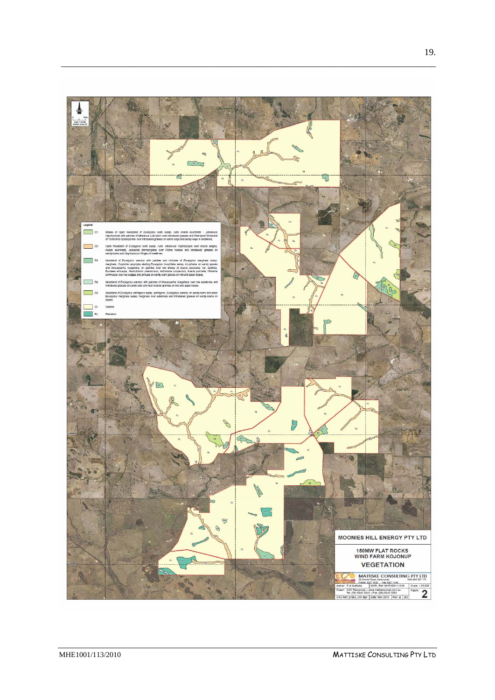

\_\_\_\_\_\_\_\_\_\_\_\_\_\_\_\_\_\_\_\_\_\_\_\_\_\_\_\_\_\_\_\_\_\_\_\_\_\_\_\_\_\_\_\_\_\_\_\_\_\_\_\_\_\_\_\_\_\_\_\_\_\_\_\_\_\_\_\_\_\_\_\_\_\_\_\_\_\_\_\_\_\_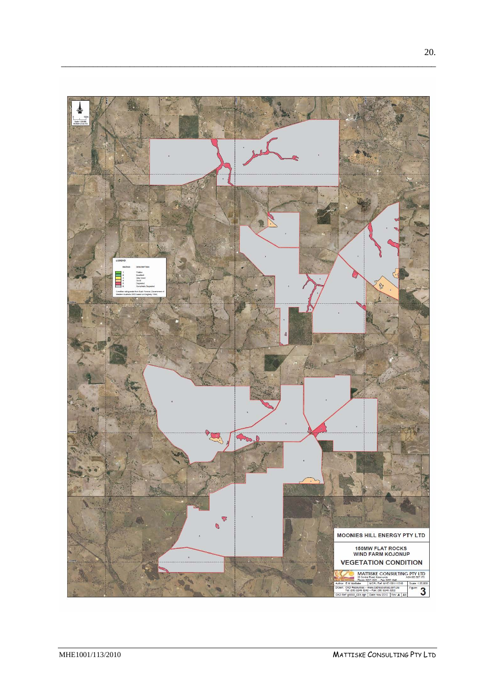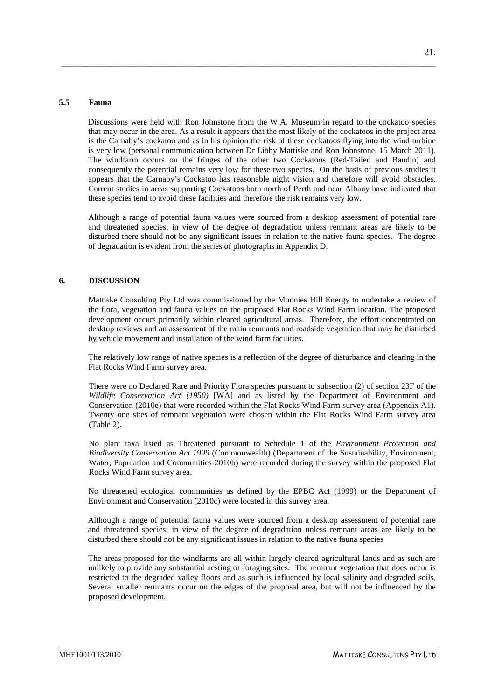#### **5.5 Fauna**

Discussions were held with Ron Johnstone from the W.A. Museum in regard to the cockatoo species that may occur in the area. As a result it appears that the most likely of the cockatoos in the project area is the Carnaby's cockatoo and as in his opinion the risk of these cockatoos flying into the wind turbine is very low (personal communication between Dr Libby Mattiske and Ron Johnstone, 15 March 2011). The windfarm occurs on the fringes of the other two Cockatoos (Red-Tailed and Baudin) and consequently the potential remains very low for these two species. On the basis of previous studies it appears that the Carnaby's Cockatoo has reasonable night vision and therefore will avoid obstacles. Current studies in areas supporting Cockatoos both north of Perth and near Albany have indicated that these species tend to avoid these facilities and therefore the risk remains very low.

<span id="page-24-0"></span>\_\_\_\_\_\_\_\_\_\_\_\_\_\_\_\_\_\_\_\_\_\_\_\_\_\_\_\_\_\_\_\_\_\_\_\_\_\_\_\_\_\_\_\_\_\_\_\_\_\_\_\_\_\_\_\_\_\_\_\_\_\_\_\_\_\_\_\_\_\_\_\_\_\_\_\_\_\_\_\_\_\_

Although a range of potential fauna values were sourced from a desktop assessment of potential rare and threatened species; in view of the degree of degradation unless remnant areas are likely to be disturbed there should not be any significant issues in relation to the native fauna species. The degree of degradation is evident from the series of photographs in Appendix D.

### <span id="page-24-1"></span>**6. DISCUSSION**

Mattiske Consulting Pty Ltd was commissioned by the Moonies Hill Energy to undertake a review of the flora, vegetation and fauna values on the proposed Flat Rocks Wind Farm location. The proposed development occurs primarily within cleared agricultural areas. Therefore, the effort concentrated on desktop reviews and an assessment of the main remnants and roadside vegetation that may be disturbed by vehicle movement and installation of the wind farm facilities.

The relatively low range of native species is a reflection of the degree of disturbance and clearing in the Flat Rocks Wind Farm survey area.

There were no Declared Rare and Priority Flora species pursuant to subsection (2) of section 23F of the *Wildlife Conservation Act (1950)* [WA] and as listed by the Department of Environment and Conservation (2010e) that were recorded within the Flat Rocks Wind Farm survey area (Appendix A1). Twenty one sites of remnant vegetation were chosen within the Flat Rocks Wind Farm survey area (Table 2).

No plant taxa listed as Threatened pursuant to Schedule 1 of the *Environment Protection and Biodiversity Conservation Act 1999* (Commonwealth) (Department of the Sustainability, Environment, Water, Population and Communities 2010b) were recorded during the survey within the proposed Flat Rocks Wind Farm survey area.

No threatened ecological communities as defined by the EPBC Act (1999) or the Department of Environment and Conservation (2010c) were located in this survey area.

Although a range of potential fauna values were sourced from a desktop assessment of potential rare and threatened species; in view of the degree of degradation unless remnant areas are likely to be disturbed there should not be any significant issues in relation to the native fauna species

The areas proposed for the windfarms are all within largely cleared agricultural lands and as such are unlikely to provide any substantial nesting or foraging sites. The remnant vegetation that does occur is restricted to the degraded valley floors and as such is influenced by local salinity and degraded soils. Several smaller remnants occur on the edges of the proposal area, but will not be influenced by the proposed development.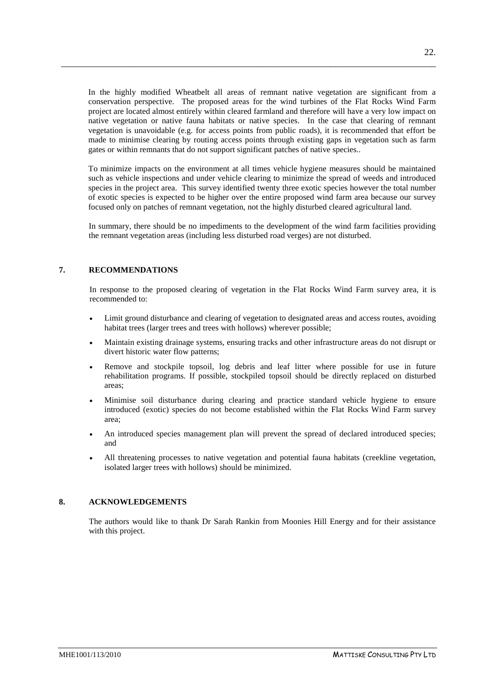In the highly modified Wheatbelt all areas of remnant native vegetation are significant from a conservation perspective. The proposed areas for the wind turbines of the Flat Rocks Wind Farm project are located almost entirely within cleared farmland and therefore will have a very low impact on native vegetation or native fauna habitats or native species. In the case that clearing of remnant vegetation is unavoidable (e.g. for access points from public roads), it is recommended that effort be made to minimise clearing by routing access points through existing gaps in vegetation such as farm gates or within remnants that do not support significant patches of native species..

\_\_\_\_\_\_\_\_\_\_\_\_\_\_\_\_\_\_\_\_\_\_\_\_\_\_\_\_\_\_\_\_\_\_\_\_\_\_\_\_\_\_\_\_\_\_\_\_\_\_\_\_\_\_\_\_\_\_\_\_\_\_\_\_\_\_\_\_\_\_\_\_\_\_\_\_\_\_\_\_\_\_

To minimize impacts on the environment at all times vehicle hygiene measures should be maintained such as vehicle inspections and under vehicle clearing to minimize the spread of weeds and introduced species in the project area. This survey identified twenty three exotic species however the total number of exotic species is expected to be higher over the entire proposed wind farm area because our survey focused only on patches of remnant vegetation, not the highly disturbed cleared agricultural land.

In summary, there should be no impediments to the development of the wind farm facilities providing the remnant vegetation areas (including less disturbed road verges) are not disturbed.

### <span id="page-25-0"></span>**7. RECOMMENDATIONS**

In response to the proposed clearing of vegetation in the Flat Rocks Wind Farm survey area, it is recommended to:

- Limit ground disturbance and clearing of vegetation to designated areas and access routes, avoiding habitat trees (larger trees and trees with hollows) wherever possible;
- Maintain existing drainage systems, ensuring tracks and other infrastructure areas do not disrupt or divert historic water flow patterns;
- Remove and stockpile topsoil, log debris and leaf litter where possible for use in future rehabilitation programs. If possible, stockpiled topsoil should be directly replaced on disturbed areas;
- Minimise soil disturbance during clearing and practice standard vehicle hygiene to ensure introduced (exotic) species do not become established within the Flat Rocks Wind Farm survey area;
- An introduced species management plan will prevent the spread of declared introduced species; and
- All threatening processes to native vegetation and potential fauna habitats (creekline vegetation, isolated larger trees with hollows) should be minimized.

### <span id="page-25-1"></span>**8. ACKNOWLEDGEMENTS**

The authors would like to thank Dr Sarah Rankin from Moonies Hill Energy and for their assistance with this project.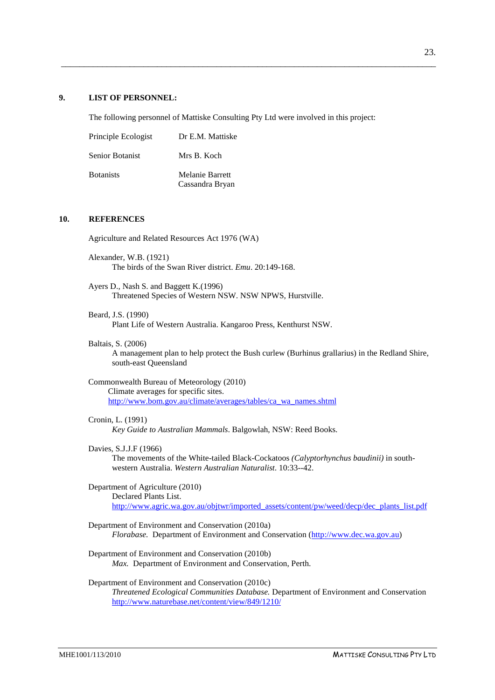#### **9. LIST OF PERSONNEL:**

The following personnel of Mattiske Consulting Pty Ltd were involved in this project:

<span id="page-26-0"></span>\_\_\_\_\_\_\_\_\_\_\_\_\_\_\_\_\_\_\_\_\_\_\_\_\_\_\_\_\_\_\_\_\_\_\_\_\_\_\_\_\_\_\_\_\_\_\_\_\_\_\_\_\_\_\_\_\_\_\_\_\_\_\_\_\_\_\_\_\_\_\_\_\_\_\_\_\_\_\_\_\_\_

| Principle Ecologist    | Dr E.M. Mattiske                   |
|------------------------|------------------------------------|
| <b>Senior Botanist</b> | Mrs B. Koch                        |
| <b>B</b> otanists      | Melanie Barrett<br>Cassandra Bryan |

#### <span id="page-26-1"></span>**10. REFERENCES**

Agriculture and Related Resources Act 1976 (WA)

- Alexander, W.B. (1921) The birds of the Swan River district. *Emu*. 20:149-168.
- Ayers D., Nash S. and Baggett K.(1996) Threatened Species of Western NSW. NSW NPWS, Hurstville.
- Beard, J.S. (1990) Plant Life of Western Australia. Kangaroo Press, Kenthurst NSW.
- Baltais, S. (2006) A management plan to help protect the Bush curlew (Burhinus grallarius) in the Redland Shire, south-east Queensland
- Commonwealth Bureau of Meteorology (2010) Climate averages for specific sites. [http://www.bom.gov.au/climate/averages/tables/ca\\_wa\\_names.shtml](http://www.bom.gov.au/climate/averages/tables/ca_wa_names.shtml)

#### Cronin, L. (1991)

*Key Guide to Australian Mammals*. Balgowlah, NSW: Reed Books.

#### Davies, S.J.J.F (1966)

The movements of the White-tailed Black-Cockatoos *(Calyptorhynchus baudinii)* in southwestern Australia. *Western Australian Naturalist*. 10:33--42.

- Department of Agriculture (2010) Declared Plants List. [http://www.agric.wa.gov.au/objtwr/imported\\_assets/content/pw/weed/decp/dec\\_plants\\_list.pdf](http://www.agric.wa.gov.au/objtwr/imported_assets/content/pw/weed/decp/dec_plants_list.pdf)
- Department of Environment and Conservation (2010a) *Florabase.* Department of Environment and Conservation [\(http://www.dec.wa.gov.au\)](http://www.calm.wa.gov.au/science/florabase.html)
- Department of Environment and Conservation (2010b) *Max.* Department of Environment and Conservation, Perth.
- Department of Environment and Conservation (2010c) *Threatened Ecological Communities Database.* Department of Environment and Conservation <http://www.naturebase.net/content/view/849/1210/>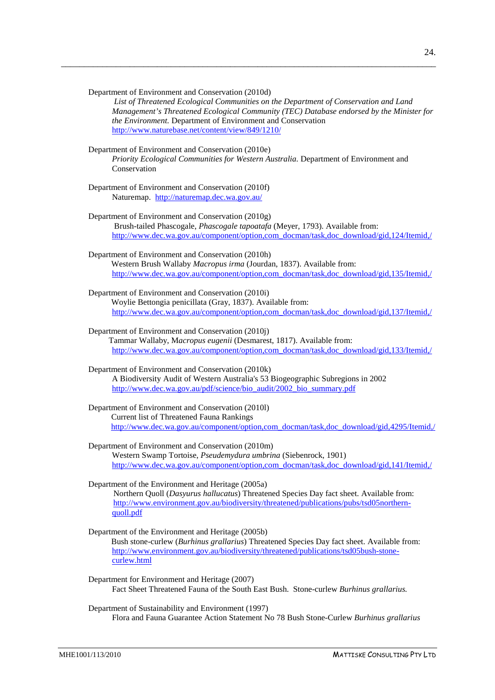*Management's Threatened Ecological Community (TEC) Database endorsed by the Minister for the Environment.* Department of Environment and Conservation <http://www.naturebase.net/content/view/849/1210/> Department of Environment and Conservation (2010e) *Priority Ecological Communities for Western Australia.* Department of Environment and Conservation Department of Environment and Conservation (2010f) Naturemap.<http://naturemap.dec.wa.gov.au/> Department of Environment and Conservation (2010g) Brush-tailed Phascogale, *Phascogale tapoatafa* (Meyer, 1793). Available from: [http://www.dec.wa.gov.au/component/option,com\\_docman/task,doc\\_download/gid,124/Itemid,/](http://www.dec.wa.gov.au/component/option,com_docman/task,doc_download/gid,124/Itemid,/) Department of Environment and Conservation (2010h) Western Brush Wallaby *Macropus irma* (Jourdan, 1837). Available from: [http://www.dec.wa.gov.au/component/option,com\\_docman/task,doc\\_download/gid,135/Itemid,/](http://www.dec.wa.gov.au/component/option,com_docman/task,doc_download/gid,135/Itemid,/) Department of Environment and Conservation (2010i) Woylie Bettongia penicillata (Gray, 1837). Available from: [http://www.dec.wa.gov.au/component/option,com\\_docman/task,doc\\_download/gid,137/Itemid,/](http://www.dec.wa.gov.au/component/option,com_docman/task,doc_download/gid,137/Itemid,/) Department of Environment and Conservation (2010j) Tammar Wallaby, M*acropus eugenii* (Desmarest, 1817). Available from: [http://www.dec.wa.gov.au/component/option,com\\_docman/task,doc\\_download/gid,133/Itemid,/](http://www.dec.wa.gov.au/component/option,com_docman/task,doc_download/gid,133/Itemid,/) Department of Environment and Conservation (2010k) A Biodiversity Audit of Western Australia's 53 Biogeographic Subregions in 2002 [http://www.dec.wa.gov.au/pdf/science/bio\\_audit/2002\\_bio\\_summary.pdf](http://www.dec.wa.gov.au/pdf/science/bio_audit/2002_bio_summary.pdf) Department of Environment and Conservation (2010l) Current list of Threatened Fauna Rankings [http://www.dec.wa.gov.au/component/option,com\\_docman/task,doc\\_download/gid,4295/Itemid,/](http://www.dec.wa.gov.au/component/option,com_docman/task,doc_download/gid,4295/Itemid,/) Department of Environment and Conservation (2010m) Western Swamp Tortoise, *Pseudemydura umbrina* (Siebenrock, 1901) [http://www.dec.wa.gov.au/component/option,com\\_docman/task,doc\\_download/gid,141/Itemid,/](http://www.dec.wa.gov.au/component/option,com_docman/task,doc_download/gid,141/Itemid,/) Northern Quoll ( *Dasyurus hallucatus*) Threatened Species Day fact sheet. Available from: Department of the Environment and Heritage (2005a) [http://www.environment.gov.au/biodiversity/threatened/publications/pubs/tsd05northern](http://www.environment.gov.au/biodiversity/threatened/publications/pubs/tsd05northern-quoll.pdf)[quoll.pdf](http://www.environment.gov.au/biodiversity/threatened/publications/pubs/tsd05northern-quoll.pdf) Bush stone-curlew (*Burhinus grallarius*) Threatened Species Day fact sheet. Available from: Department of the Environment and Heritage (2005b) [http://www.environment.gov.au/biodiversity/threatened/publications/tsd05bush-stone-](http://www.environment.gov.au/biodiversity/threatened/publications/tsd05bush-stone-curlew.html)

\_\_\_\_\_\_\_\_\_\_\_\_\_\_\_\_\_\_\_\_\_\_\_\_\_\_\_\_\_\_\_\_\_\_\_\_\_\_\_\_\_\_\_\_\_\_\_\_\_\_\_\_\_\_\_\_\_\_\_\_\_\_\_\_\_\_\_\_\_\_\_\_\_\_\_\_\_\_\_\_\_\_

*List of Threatened Ecological Communities on the Department of Conservation and Land* 

Department of Environment and Conservation (2010d)

Department for Environment and Heritage (2007) Fact Sheet Threatened Fauna of the South East Bush. Stone-curlew *Burhinus grallarius.*

Department of Sustainability and Environment (1997) Flora and Fauna Guarantee Action Statement No 78 Bush Stone-Curlew *Burhinus grallarius*

[curlew.html](http://www.environment.gov.au/biodiversity/threatened/publications/tsd05bush-stone-curlew.html)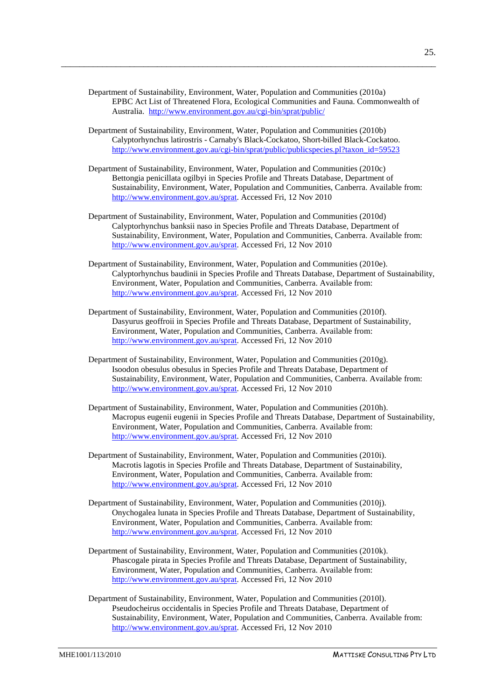Department of Sustainability, Environment, Water, Population and Communities (2010a) EPBC Act List of Threatened Flora, Ecological Communities and Fauna. Commonwealth of Australia. <http://www.environment.gov.au/cgi-bin/sprat/public/>

\_\_\_\_\_\_\_\_\_\_\_\_\_\_\_\_\_\_\_\_\_\_\_\_\_\_\_\_\_\_\_\_\_\_\_\_\_\_\_\_\_\_\_\_\_\_\_\_\_\_\_\_\_\_\_\_\_\_\_\_\_\_\_\_\_\_\_\_\_\_\_\_\_\_\_\_\_\_\_\_\_\_

- Department of Sustainability, Environment, Water, Population and Communities (2010b) Calyptorhynchus latirostris - Carnaby's Black-Cockatoo, Short-billed Black-Cockatoo. [http://www.environment.gov.au/cgi-bin/sprat/public/publicspecies.pl?taxon\\_id=59523](http://www.environment.gov.au/cgi-bin/sprat/public/publicspecies.pl?taxon_id=59523)
- Department of Sustainability, Environment, Water, Population and Communities (2010c) Bettongia penicillata ogilbyi in Species Profile and Threats Database, Department of Sustainability, Environment, Water, Population and Communities, Canberra. Available from: [http://www.environment.gov.au/sprat.](http://www.environment.gov.au/sprat) Accessed Fri, 12 Nov 2010
- Department of Sustainability, Environment, Water, Population and Communities (2010d) Calyptorhynchus banksii naso in Species Profile and Threats Database, Department of Sustainability, Environment, Water, Population and Communities, Canberra. Available from: [http://www.environment.gov.au/sprat.](http://www.environment.gov.au/sprat) Accessed Fri, 12 Nov 2010
- Department of Sustainability, Environment, Water, Population and Communities (2010e). Calyptorhynchus baudinii in Species Profile and Threats Database, Department of Sustainability, Environment, Water, Population and Communities, Canberra. Available from: [http://www.environment.gov.au/sprat.](http://www.environment.gov.au/sprat) Accessed Fri, 12 Nov 2010
- Department of Sustainability, Environment, Water, Population and Communities (2010f). Dasyurus geoffroii in Species Profile and Threats Database, Department of Sustainability, Environment, Water, Population and Communities, Canberra. Available from: [http://www.environment.gov.au/sprat.](http://www.environment.gov.au/sprat) Accessed Fri, 12 Nov 2010
- Department of Sustainability, Environment, Water, Population and Communities (2010g). Isoodon obesulus obesulus in Species Profile and Threats Database, Department of Sustainability, Environment, Water, Population and Communities, Canberra. Available from: [http://www.environment.gov.au/sprat.](http://www.environment.gov.au/sprat) Accessed Fri, 12 Nov 2010
- Department of Sustainability, Environment, Water, Population and Communities (2010h). Macropus eugenii eugenii in Species Profile and Threats Database, Department of Sustainability, Environment, Water, Population and Communities, Canberra. Available from: [http://www.environment.gov.au/sprat.](http://www.environment.gov.au/sprat) Accessed Fri, 12 Nov 2010
- Department of Sustainability, Environment, Water, Population and Communities (2010i). Macrotis lagotis in Species Profile and Threats Database, Department of Sustainability, Environment, Water, Population and Communities, Canberra. Available from: [http://www.environment.gov.au/sprat.](http://www.environment.gov.au/sprat) Accessed Fri, 12 Nov 2010
- Department of Sustainability, Environment, Water, Population and Communities (2010j). Onychogalea lunata in Species Profile and Threats Database, Department of Sustainability, Environment, Water, Population and Communities, Canberra. Available from: [http://www.environment.gov.au/sprat.](http://www.environment.gov.au/sprat) Accessed Fri, 12 Nov 2010
- Department of Sustainability, Environment, Water, Population and Communities (2010k). Phascogale pirata in Species Profile and Threats Database, Department of Sustainability, Environment, Water, Population and Communities, Canberra. Available from: [http://www.environment.gov.au/sprat.](http://www.environment.gov.au/sprat) Accessed Fri, 12 Nov 2010
- Department of Sustainability, Environment, Water, Population and Communities (2010l). Pseudocheirus occidentalis in Species Profile and Threats Database, Department of Sustainability, Environment, Water, Population and Communities, Canberra. Available from: [http://www.environment.gov.au/sprat.](http://www.environment.gov.au/sprat) Accessed Fri, 12 Nov 2010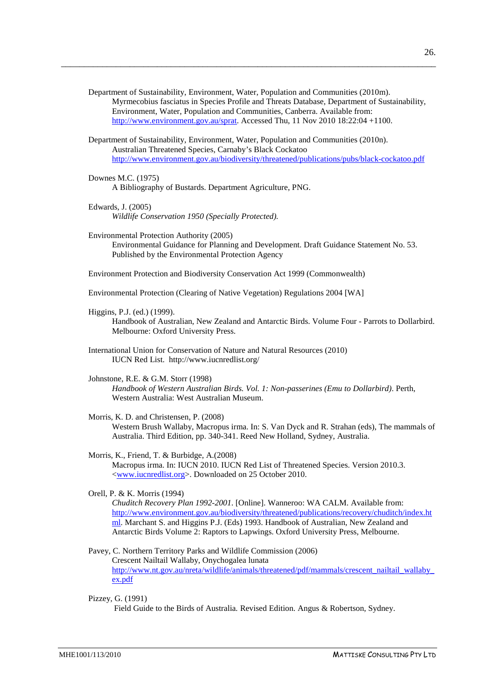Department of Sustainability, Environment, Water, Population and Communities (2010m). Myrmecobius fasciatus in Species Profile and Threats Database, Department of Sustainability, Environment, Water, Population and Communities, Canberra. Available from: [http://www.environment.gov.au/sprat.](http://www.environment.gov.au/sprat) Accessed Thu, 11 Nov 2010 18:22:04 +1100.

\_\_\_\_\_\_\_\_\_\_\_\_\_\_\_\_\_\_\_\_\_\_\_\_\_\_\_\_\_\_\_\_\_\_\_\_\_\_\_\_\_\_\_\_\_\_\_\_\_\_\_\_\_\_\_\_\_\_\_\_\_\_\_\_\_\_\_\_\_\_\_\_\_\_\_\_\_\_\_\_\_\_

Department of Sustainability, Environment, Water, Population and Communities (2010n). Australian Threatened Species, Carnaby's Black Cockatoo <http://www.environment.gov.au/biodiversity/threatened/publications/pubs/black-cockatoo.pdf>

- Downes M.C. (1975) A Bibliography of Bustards. Department Agriculture, PNG.
- Edwards, J. (2005) *Wildlife Conservation 1950 (Specially Protected).*
- Environmental Protection Authority (2005) Environmental Guidance for Planning and Development. Draft Guidance Statement No. 53. Published by the Environmental Protection Agency

Environment Protection and Biodiversity Conservation Act 1999 (Commonwealth)

Environmental Protection (Clearing of Native Vegetation) Regulations 2004 [WA]

Higgins, P.J. (ed.) (1999).

Handbook of Australian, New Zealand and Antarctic Birds. Volume Four - Parrots to Dollarbird. Melbourne: Oxford University Press.

- International Union for Conservation of Nature and Natural Resources (2010) IUCN Red List. http://www.iucnredlist.org/
- Johnstone, R.E. & G.M. Storr (1998)

*Handbook of Western Australian Birds. Vol. 1: Non-passerines (Emu to Dollarbird)*. Perth, Western Australia: West Australian Museum.

Morris, K. D. and Christensen, P. (2008)

Western Brush Wallaby, Macropus irma. In: S. Van Dyck and R. Strahan (eds), The mammals of Australia. Third Edition, pp. 340-341. Reed New Holland, Sydney, Australia.

Morris, K., Friend, T. & Burbidge, A.(2008) Macropus irma. In: IUCN 2010. IUCN Red List of Threatened Species. Version 2010.3. [<www.iucnredlist.org>](http://www.iucnredlist.org/). Downloaded on 25 October 2010.

Orell, P. & K. Morris (1994) *Chuditch Recovery Plan 1992-2001*. [Online]. Wanneroo: WA CALM. Available from: [http://www.environment.gov.au/biodiversity/threatened/publications/recovery/chuditch/index.ht](http://www.environment.gov.au/biodiversity/threatened/publications/recovery/chuditch/index.html) [ml.](http://www.environment.gov.au/biodiversity/threatened/publications/recovery/chuditch/index.html) Marchant S. and Higgins P.J. (Eds) 1993. Handbook of Australian, New Zealand and Antarctic Birds Volume 2: Raptors to Lapwings. Oxford University Press, Melbourne.

Pavey, C. Northern Territory Parks and Wildlife Commission (2006) Crescent Nailtail Wallaby, Onychogalea lunata [http://www.nt.gov.au/nreta/wildlife/animals/threatened/pdf/mammals/crescent\\_nailtail\\_wallaby\\_](http://www.nt.gov.au/nreta/wildlife/animals/threatened/pdf/mammals/crescent_nailtail_wallaby_ex.pdf) [ex.pdf](http://www.nt.gov.au/nreta/wildlife/animals/threatened/pdf/mammals/crescent_nailtail_wallaby_ex.pdf)

Pizzey, G. (1991) Field Guide to the Birds of Australia*.* Revised Edition. Angus & Robertson, Sydney.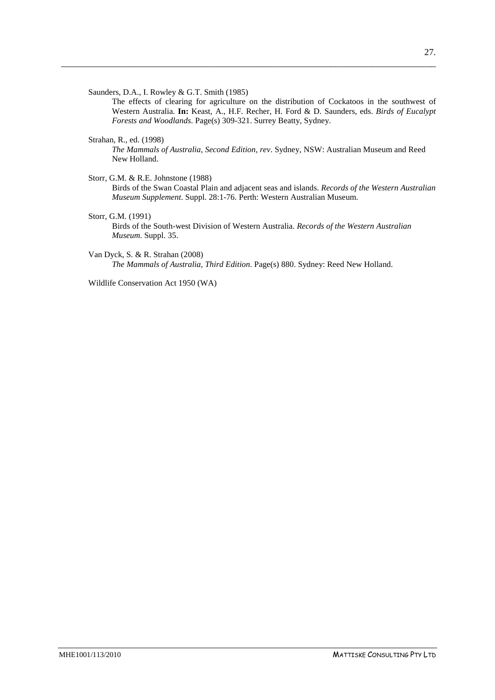Saunders, D.A., I. Rowley & G.T. Smith (1985)

The effects of clearing for agriculture on the distribution of Cockatoos in the southwest of Western Australia. **In:** Keast, A., H.F. Recher, H. Ford & D. Saunders, eds. *Birds of Eucalypt Forests and Woodlands*. Page(s) 309-321. Surrey Beatty, Sydney.

Strahan, R., ed. (1998)

*The Mammals of Australia, Second Edition, rev*. Sydney, NSW: Australian Museum and Reed New Holland.

- Storr, G.M. & R.E. Johnstone (1988) Birds of the Swan Coastal Plain and adjacent seas and islands. *Records of the Western Australian Museum Supplement*. Suppl. 28:1-76. Perth: Western Australian Museum.
- Storr, G.M. (1991) Birds of the South-west Division of Western Australia. *Records of the Western Australian Museum*. Suppl. 35.

\_\_\_\_\_\_\_\_\_\_\_\_\_\_\_\_\_\_\_\_\_\_\_\_\_\_\_\_\_\_\_\_\_\_\_\_\_\_\_\_\_\_\_\_\_\_\_\_\_\_\_\_\_\_\_\_\_\_\_\_\_\_\_\_\_\_\_\_\_\_\_\_\_\_\_\_\_\_\_\_\_\_

Van Dyck, S. & R. Strahan (2008) *The Mammals of Australia, Third Edition*. Page(s) 880. Sydney: Reed New Holland.

Wildlife Conservation Act 1950 (WA)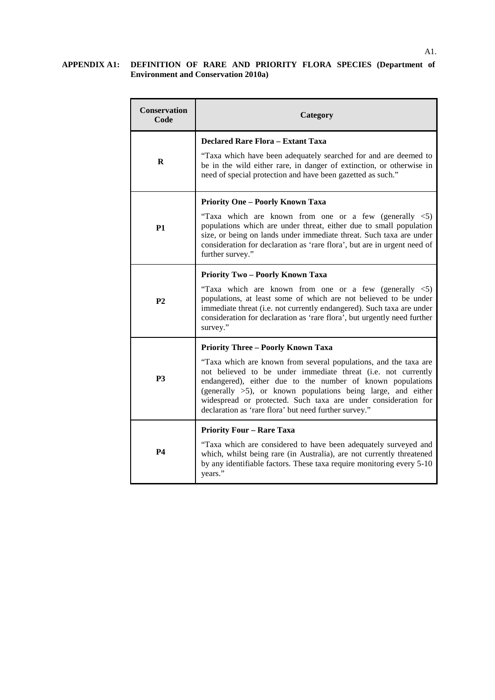#### **APPENDIX A1: DEFINITION OF RARE AND PRIORITY FLORA SPECIES (Department of Environment and Conservation 2010a)**

| <b>Conservation</b><br>Code | Category                                                                                                                                                                                                                                                                                                                                                                                                                                   |
|-----------------------------|--------------------------------------------------------------------------------------------------------------------------------------------------------------------------------------------------------------------------------------------------------------------------------------------------------------------------------------------------------------------------------------------------------------------------------------------|
| R                           | <b>Declared Rare Flora - Extant Taxa</b><br>"Taxa which have been adequately searched for and are deemed to<br>be in the wild either rare, in danger of extinction, or otherwise in<br>need of special protection and have been gazetted as such."                                                                                                                                                                                         |
| <b>P1</b>                   | <b>Priority One - Poorly Known Taxa</b><br>"Taxa which are known from one or a few (generally $\leq 5$ )<br>populations which are under threat, either due to small population<br>size, or being on lands under immediate threat. Such taxa are under<br>consideration for declaration as 'rare flora', but are in urgent need of<br>further survey."                                                                                      |
| P <sub>2</sub>              | <b>Priority Two - Poorly Known Taxa</b><br>"Taxa which are known from one or a few (generally $\langle 5 \rangle$ )<br>populations, at least some of which are not believed to be under<br>immediate threat (i.e. not currently endangered). Such taxa are under<br>consideration for declaration as 'rare flora', but urgently need further<br>survey."                                                                                   |
| P <sub>3</sub>              | <b>Priority Three - Poorly Known Taxa</b><br>"Taxa which are known from several populations, and the taxa are<br>not believed to be under immediate threat (i.e. not currently<br>endangered), either due to the number of known populations<br>(generally $>5$ ), or known populations being large, and either<br>widespread or protected. Such taxa are under consideration for<br>declaration as 'rare flora' but need further survey." |
| <b>P4</b>                   | <b>Priority Four - Rare Taxa</b><br>"Taxa which are considered to have been adequately surveyed and<br>which, whilst being rare (in Australia), are not currently threatened<br>by any identifiable factors. These taxa require monitoring every 5-10<br>years."                                                                                                                                                                           |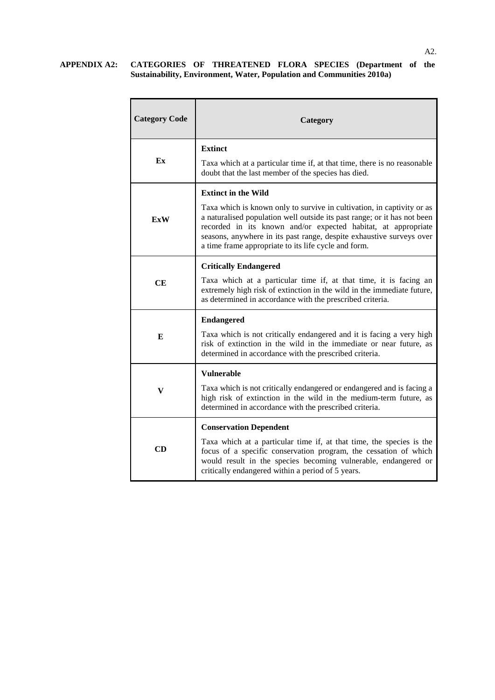### **APPENDIX A2: CATEGORIES OF THREATENED FLORA SPECIES (Department of the Sustainability, Environment, Water, Population and Communities 2010a)**

| <b>Category Code</b> | Category                                                                                                                                                                                                                                                                                                                                            |
|----------------------|-----------------------------------------------------------------------------------------------------------------------------------------------------------------------------------------------------------------------------------------------------------------------------------------------------------------------------------------------------|
|                      | <b>Extinct</b>                                                                                                                                                                                                                                                                                                                                      |
| Ex                   | Taxa which at a particular time if, at that time, there is no reasonable<br>doubt that the last member of the species has died.                                                                                                                                                                                                                     |
|                      | <b>Extinct in the Wild</b>                                                                                                                                                                                                                                                                                                                          |
| <b>ExW</b>           | Taxa which is known only to survive in cultivation, in captivity or as<br>a naturalised population well outside its past range; or it has not been<br>recorded in its known and/or expected habitat, at appropriate<br>seasons, anywhere in its past range, despite exhaustive surveys over<br>a time frame appropriate to its life cycle and form. |
|                      | <b>Critically Endangered</b>                                                                                                                                                                                                                                                                                                                        |
| CE                   | Taxa which at a particular time if, at that time, it is facing an<br>extremely high risk of extinction in the wild in the immediate future,<br>as determined in accordance with the prescribed criteria.                                                                                                                                            |
|                      | <b>Endangered</b>                                                                                                                                                                                                                                                                                                                                   |
| E                    | Taxa which is not critically endangered and it is facing a very high<br>risk of extinction in the wild in the immediate or near future, as<br>determined in accordance with the prescribed criteria.                                                                                                                                                |
|                      | <b>Vulnerable</b>                                                                                                                                                                                                                                                                                                                                   |
| V                    | Taxa which is not critically endangered or endangered and is facing a<br>high risk of extinction in the wild in the medium-term future, as<br>determined in accordance with the prescribed criteria.                                                                                                                                                |
|                      | <b>Conservation Dependent</b>                                                                                                                                                                                                                                                                                                                       |
| CD                   | Taxa which at a particular time if, at that time, the species is the<br>focus of a specific conservation program, the cessation of which<br>would result in the species becoming vulnerable, endangered or<br>critically endangered within a period of 5 years.                                                                                     |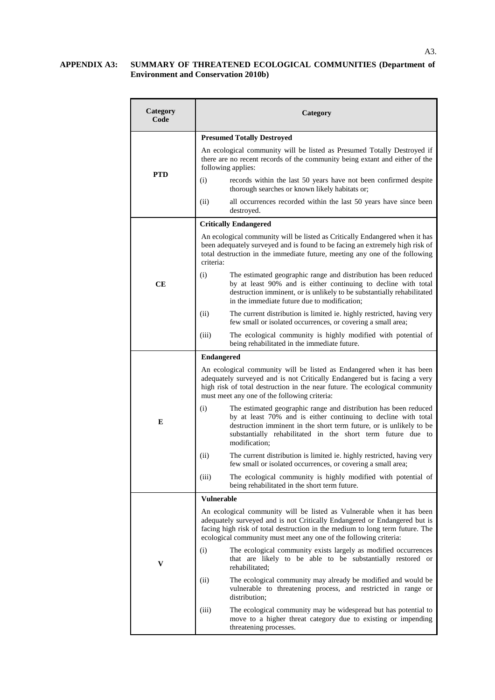#### **APPENDIX A3: SUMMARY OF THREATENED ECOLOGICAL COMMUNITIES (Department of Environment and Conservation 2010b)**

| <b>Category</b><br>Code | Category                                                                                                                                                                                                                                                                                                |  |  |  |
|-------------------------|---------------------------------------------------------------------------------------------------------------------------------------------------------------------------------------------------------------------------------------------------------------------------------------------------------|--|--|--|
|                         | <b>Presumed Totally Destroyed</b>                                                                                                                                                                                                                                                                       |  |  |  |
| <b>PTD</b>              | An ecological community will be listed as Presumed Totally Destroyed if<br>there are no recent records of the community being extant and either of the<br>following applies:                                                                                                                            |  |  |  |
|                         | (i)<br>records within the last 50 years have not been confirmed despite<br>thorough searches or known likely habitats or;                                                                                                                                                                               |  |  |  |
|                         | (ii)<br>all occurrences recorded within the last 50 years have since been<br>destroyed.                                                                                                                                                                                                                 |  |  |  |
|                         | <b>Critically Endangered</b>                                                                                                                                                                                                                                                                            |  |  |  |
| CЕ                      | An ecological community will be listed as Critically Endangered when it has<br>been adequately surveyed and is found to be facing an extremely high risk of<br>total destruction in the immediate future, meeting any one of the following<br>criteria:                                                 |  |  |  |
|                         | (i)<br>The estimated geographic range and distribution has been reduced<br>by at least 90% and is either continuing to decline with total<br>destruction imminent, or is unlikely to be substantially rehabilitated<br>in the immediate future due to modification;                                     |  |  |  |
|                         | (ii)<br>The current distribution is limited ie. highly restricted, having very<br>few small or isolated occurrences, or covering a small area;                                                                                                                                                          |  |  |  |
|                         | The ecological community is highly modified with potential of<br>(iii)<br>being rehabilitated in the immediate future.                                                                                                                                                                                  |  |  |  |
| E                       | <b>Endangered</b>                                                                                                                                                                                                                                                                                       |  |  |  |
|                         | An ecological community will be listed as Endangered when it has been<br>adequately surveyed and is not Critically Endangered but is facing a very<br>high risk of total destruction in the near future. The ecological community<br>must meet any one of the following criteria:                       |  |  |  |
|                         | (i)<br>The estimated geographic range and distribution has been reduced<br>by at least 70% and is either continuing to decline with total<br>destruction imminent in the short term future, or is unlikely to be<br>substantially rehabilitated in the short term future due to<br>modification;        |  |  |  |
|                         | (ii)<br>The current distribution is limited ie. highly restricted, having very<br>few small or isolated occurrences, or covering a small area;                                                                                                                                                          |  |  |  |
|                         | (iii)<br>The ecological community is highly modified with potential of<br>being rehabilitated in the short term future.                                                                                                                                                                                 |  |  |  |
|                         | <b>Vulnerable</b>                                                                                                                                                                                                                                                                                       |  |  |  |
| V                       | An ecological community will be listed as Vulnerable when it has been<br>adequately surveyed and is not Critically Endangered or Endangered but is<br>facing high risk of total destruction in the medium to long term future. The<br>ecological community must meet any one of the following criteria: |  |  |  |
|                         | (i)<br>The ecological community exists largely as modified occurrences<br>that are likely to be able to be substantially restored or<br>rehabilitated;                                                                                                                                                  |  |  |  |
|                         | (ii)<br>The ecological community may already be modified and would be<br>vulnerable to threatening process, and restricted in range or<br>distribution;                                                                                                                                                 |  |  |  |
|                         | (iii)<br>The ecological community may be widespread but has potential to<br>move to a higher threat category due to existing or impending<br>threatening processes.                                                                                                                                     |  |  |  |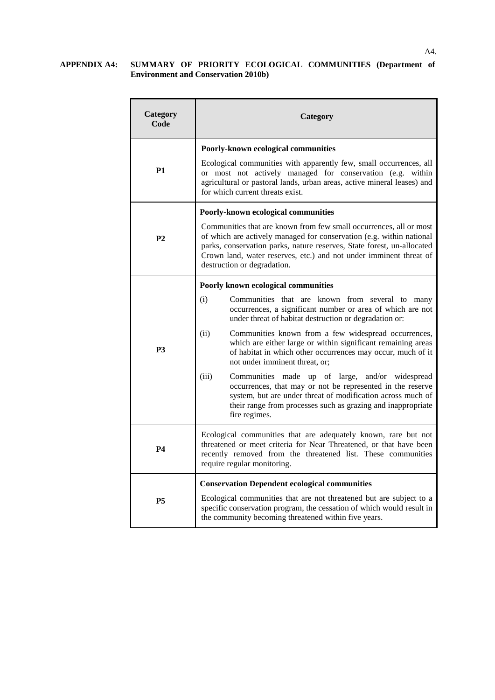#### **APPENDIX A4: SUMMARY OF PRIORITY ECOLOGICAL COMMUNITIES (Department of Environment and Conservation 2010b)**

| Category<br>Code | Category                                                                                                                                                                                                                                                                                                                  |  |  |  |
|------------------|---------------------------------------------------------------------------------------------------------------------------------------------------------------------------------------------------------------------------------------------------------------------------------------------------------------------------|--|--|--|
|                  | Poorly-known ecological communities                                                                                                                                                                                                                                                                                       |  |  |  |
| <b>P1</b>        | Ecological communities with apparently few, small occurrences, all<br>or most not actively managed for conservation (e.g. within<br>agricultural or pastoral lands, urban areas, active mineral leases) and<br>for which current threats exist.                                                                           |  |  |  |
|                  | Poorly-known ecological communities                                                                                                                                                                                                                                                                                       |  |  |  |
| P <sub>2</sub>   | Communities that are known from few small occurrences, all or most<br>of which are actively managed for conservation (e.g. within national<br>parks, conservation parks, nature reserves, State forest, un-allocated<br>Crown land, water reserves, etc.) and not under imminent threat of<br>destruction or degradation. |  |  |  |
|                  | Poorly known ecological communities                                                                                                                                                                                                                                                                                       |  |  |  |
| P <sub>3</sub>   | (i)<br>Communities that are known from several to many<br>occurrences, a significant number or area of which are not<br>under threat of habitat destruction or degradation or:                                                                                                                                            |  |  |  |
|                  | (ii)<br>Communities known from a few widespread occurrences,<br>which are either large or within significant remaining areas<br>of habitat in which other occurrences may occur, much of it<br>not under imminent threat, or;                                                                                             |  |  |  |
|                  | (iii)<br>Communities<br>made up of large, and/or widespread<br>occurrences, that may or not be represented in the reserve<br>system, but are under threat of modification across much of<br>their range from processes such as grazing and inappropriate<br>fire regimes.                                                 |  |  |  |
| <b>P4</b>        | Ecological communities that are adequately known, rare but not<br>threatened or meet criteria for Near Threatened, or that have been<br>recently removed from the threatened list. These communities<br>require regular monitoring.                                                                                       |  |  |  |
|                  | <b>Conservation Dependent ecological communities</b>                                                                                                                                                                                                                                                                      |  |  |  |
| <b>P5</b>        | Ecological communities that are not threatened but are subject to a<br>specific conservation program, the cessation of which would result in<br>the community becoming threatened within five years.                                                                                                                      |  |  |  |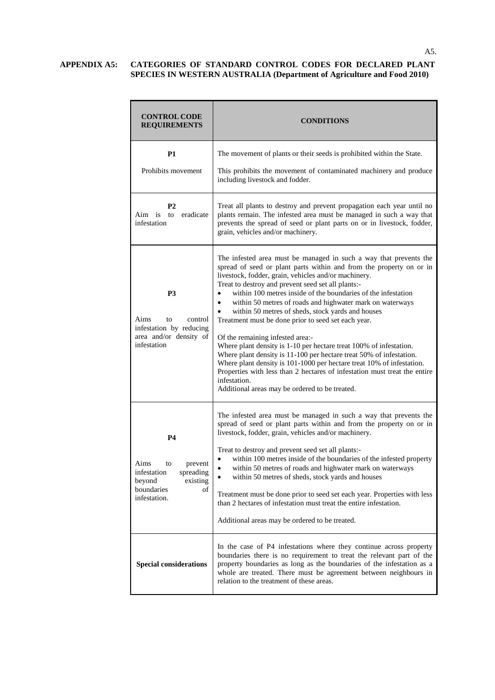## **APPENDIX A5: CATEGORIES OF STANDARD CONTROL CODES FOR DECLARED PLANT SPECIES IN WESTERN AUSTRALIA (Department of Agriculture and Food 2010)**

| <b>CONTROL CODE</b><br><b>REQUIREMENTS</b>                                                                               | <b>CONDITIONS</b>                                                                                                                                                                                                                                                                                                                                                                                                                                                                                                                                                                                                                                                                                                                                                                                                                                                                                                                   |
|--------------------------------------------------------------------------------------------------------------------------|-------------------------------------------------------------------------------------------------------------------------------------------------------------------------------------------------------------------------------------------------------------------------------------------------------------------------------------------------------------------------------------------------------------------------------------------------------------------------------------------------------------------------------------------------------------------------------------------------------------------------------------------------------------------------------------------------------------------------------------------------------------------------------------------------------------------------------------------------------------------------------------------------------------------------------------|
| P1<br>Prohibits movement                                                                                                 | The movement of plants or their seeds is prohibited within the State.<br>This prohibits the movement of contaminated machinery and produce                                                                                                                                                                                                                                                                                                                                                                                                                                                                                                                                                                                                                                                                                                                                                                                          |
|                                                                                                                          | including livestock and fodder.                                                                                                                                                                                                                                                                                                                                                                                                                                                                                                                                                                                                                                                                                                                                                                                                                                                                                                     |
| P <sub>2</sub><br>to<br>eradicate<br>Aim is<br>infestation                                                               | Treat all plants to destroy and prevent propagation each year until no<br>plants remain. The infested area must be managed in such a way that<br>prevents the spread of seed or plant parts on or in livestock, fodder,<br>grain, vehicles and/or machinery.                                                                                                                                                                                                                                                                                                                                                                                                                                                                                                                                                                                                                                                                        |
| P3<br>Aims<br>control<br>to<br>infestation by reducing<br>area and/or density of<br>infestation                          | The infested area must be managed in such a way that prevents the<br>spread of seed or plant parts within and from the property on or in<br>livestock, fodder, grain, vehicles and/or machinery.<br>Treat to destroy and prevent seed set all plants:-<br>within 100 metres inside of the boundaries of the infestation<br>within 50 metres of roads and highwater mark on waterways<br>$\bullet$<br>within 50 metres of sheds, stock yards and houses<br>$\bullet$<br>Treatment must be done prior to seed set each year.<br>Of the remaining infested area:-<br>Where plant density is 1-10 per hectare treat 100% of infestation.<br>Where plant density is 11-100 per hectare treat 50% of infestation.<br>Where plant density is 101-1000 per hectare treat 10% of infestation.<br>Properties with less than 2 hectares of infestation must treat the entire<br>infestation.<br>Additional areas may be ordered to be treated. |
| <b>P4</b><br>Aims<br>to<br>prevent<br>infestation<br>spreading<br>beyond<br>existing<br>boundaries<br>οf<br>infestation. | The infested area must be managed in such a way that prevents the<br>spread of seed or plant parts within and from the property on or in<br>livestock, fodder, grain, vehicles and/or machinery.<br>Treat to destroy and prevent seed set all plants:-<br>within 100 metres inside of the boundaries of the infested property<br>within 50 metres of roads and highwater mark on waterways<br>within 50 metres of sheds, stock yards and houses<br>Treatment must be done prior to seed set each year. Properties with less<br>than 2 hectares of infestation must treat the entire infestation.<br>Additional areas may be ordered to be treated.                                                                                                                                                                                                                                                                                  |
| <b>Special considerations</b>                                                                                            | In the case of P4 infestations where they continue across property<br>boundaries there is no requirement to treat the relevant part of the<br>property boundaries as long as the boundaries of the infestation as a<br>whole are treated. There must be agreement between neighbours in<br>relation to the treatment of these areas.                                                                                                                                                                                                                                                                                                                                                                                                                                                                                                                                                                                                |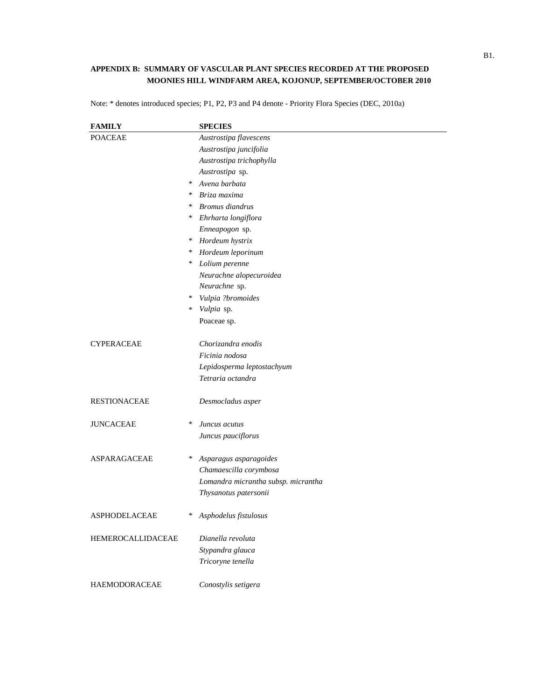## **APPENDIX B: SUMMARY OF VASCULAR PLANT SPECIES RECORDED AT THE PROPOSED MOONIES HILL WINDFARM AREA, KOJONUP, SEPTEMBER/OCTOBER 2010**

Note: \* denotes introduced species; P1, P2, P3 and P4 denote - Priority Flora Species (DEC, 2010a)

| <b>FAMILY</b>        |        | <b>SPECIES</b>                      |
|----------------------|--------|-------------------------------------|
| <b>POACEAE</b>       |        | Austrostipa flavescens              |
|                      |        | Austrostipa juncifolia              |
|                      |        | Austrostipa trichophylla            |
|                      |        | Austrostipa sp.                     |
|                      | $\ast$ | Avena barbata                       |
|                      | $\ast$ | Briza maxima                        |
|                      | $\ast$ | Bromus diandrus                     |
|                      | ∗      | Ehrharta longiflora                 |
|                      |        | Enneapogon sp.                      |
|                      | ∗      | Hordeum hystrix                     |
|                      | ∗      | Hordeum leporinum                   |
|                      | ∗      | Lolium perenne                      |
|                      |        | Neurachne alopecuroidea             |
|                      |        | Neurachne sp.                       |
|                      | ∗      | Vulpia ?bromoides                   |
|                      | $\ast$ | Vulpia sp.                          |
|                      |        | Poaceae sp.                         |
| <b>CYPERACEAE</b>    |        | Chorizandra enodis                  |
|                      |        | Ficinia nodosa                      |
|                      |        | Lepidosperma leptostachyum          |
|                      |        | Tetraria octandra                   |
| <b>RESTIONACEAE</b>  |        | Desmocladus asper                   |
| <b>JUNCACEAE</b>     | $\ast$ | Juncus acutus                       |
|                      |        | Juncus pauciflorus                  |
| ASPARAGACEAE         | $\ast$ | Asparagus asparagoides              |
|                      |        | Chamaescilla corymbosa              |
|                      |        | Lomandra micrantha subsp. micrantha |
|                      |        | Thysanotus patersonii               |
| <b>ASPHODELACEAE</b> | ∗      | Asphodelus fistulosus               |
| HEMEROCALLIDACEAE    |        | Dianella revoluta                   |
|                      |        | Stypandra glauca                    |
|                      |        | Tricoryne tenella                   |
| <b>HAEMODORACEAE</b> |        | Conostylis setigera                 |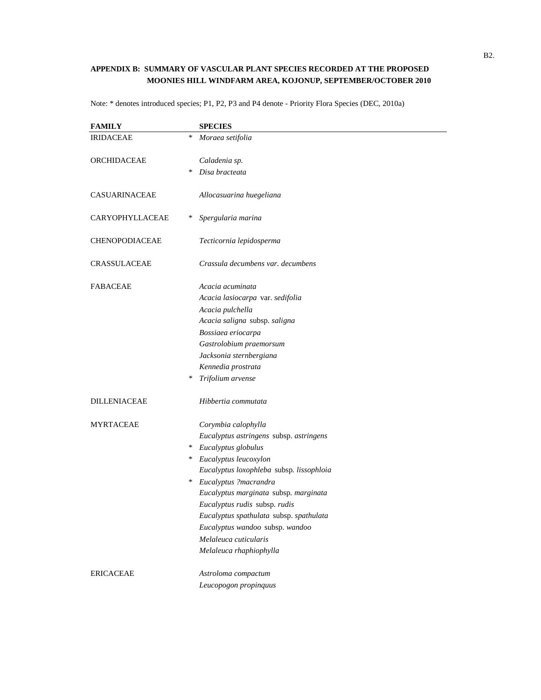## **APPENDIX B: SUMMARY OF VASCULAR PLANT SPECIES RECORDED AT THE PROPOSED MOONIES HILL WINDFARM AREA, KOJONUP, SEPTEMBER/OCTOBER 2010**

| <b>FAMILY</b>         |        | <b>SPECIES</b>                           |
|-----------------------|--------|------------------------------------------|
| <b>IRIDACEAE</b>      | *      | Moraea setifolia                         |
| ORCHIDACEAE           |        | Caladenia sp.                            |
|                       | ∗      | Disa bracteata                           |
| CASUARINACEAE         |        | Allocasuarina huegeliana                 |
| CARYOPHYLLACEAE       | $\ast$ | Spergularia marina                       |
| <b>CHENOPODIACEAE</b> |        | Tecticornia lepidosperma                 |
| CRASSULACEAE          |        | Crassula decumbens var. decumbens        |
| <b>FABACEAE</b>       |        | Acacia acuminata                         |
|                       |        | Acacia lasiocarpa var. sedifolia         |
|                       |        | Acacia pulchella                         |
|                       |        | Acacia saligna subsp. saligna            |
|                       |        | Bossiaea eriocarpa                       |
|                       |        | Gastrolobium praemorsum                  |
|                       |        | Jacksonia sternbergiana                  |
|                       |        | Kennedia prostrata                       |
|                       | ∗      | Trifolium arvense                        |
| <b>DILLENIACEAE</b>   |        | Hibbertia commutata                      |
| <b>MYRTACEAE</b>      |        | Corymbia calophylla                      |
|                       |        | Eucalyptus astringens subsp. astringens  |
|                       | ∗      | Eucalyptus globulus                      |
|                       | ∗      | Eucalyptus leucoxylon                    |
|                       |        | Eucalyptus loxophleba subsp. lissophloia |
|                       | ∗      | Eucalyptus ?macrandra                    |
|                       |        | Eucalyptus marginata subsp. marginata    |
|                       |        | Eucalyptus rudis subsp. rudis            |
|                       |        | Eucalyptus spathulata subsp. spathulata  |
|                       |        | Eucalyptus wandoo subsp. wandoo          |
|                       |        | Melaleuca cuticularis                    |
|                       |        | Melaleuca rhaphiophylla                  |
| <b>ERICACEAE</b>      |        | Astroloma compactum                      |
|                       |        | Leucopogon propinquus                    |

Note: \* denotes introduced species; P1, P2, P3 and P4 denote - Priority Flora Species (DEC, 2010a)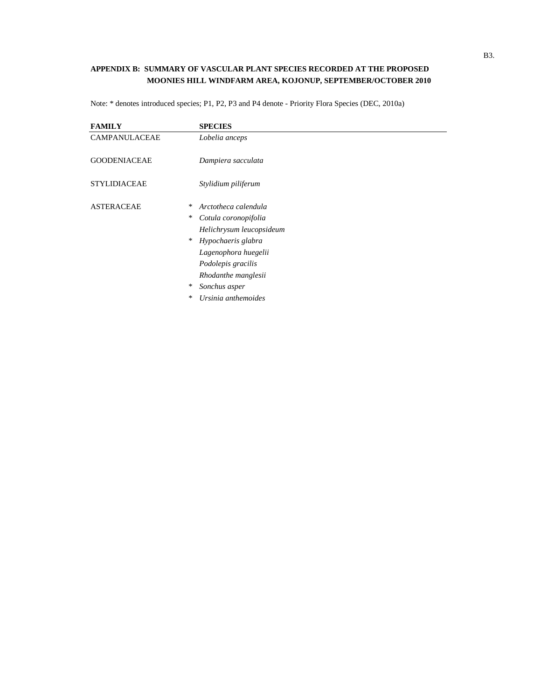## **APPENDIX B: SUMMARY OF VASCULAR PLANT SPECIES RECORDED AT THE PROPOSED MOONIES HILL WINDFARM AREA, KOJONUP, SEPTEMBER/OCTOBER 2010**

| <b>FAMILY</b>               | <b>SPECIES</b>            |
|-----------------------------|---------------------------|
| CAMPANULACEAE               | Lobelia anceps            |
| <b>GOODENIACEAE</b>         | Dampiera sacculata        |
| <b>STYLIDIACEAE</b>         | Stylidium piliferum       |
| <b>ASTERACEAE</b><br>$\ast$ | Arctotheca calendula      |
| ∗                           | Cotula coronopifolia      |
|                             | Helichrysum leucopsideum  |
|                             | $*$<br>Hypochaeris glabra |
|                             | Lagenophora huegelii      |
|                             | Podolepis gracilis        |
|                             | Rhodanthe manglesii       |
| ∗                           | Sonchus asper             |
| ∗                           | Ursinia anthemoides       |

Note: \* denotes introduced species; P1, P2, P3 and P4 denote - Priority Flora Species (DEC, 2010a)